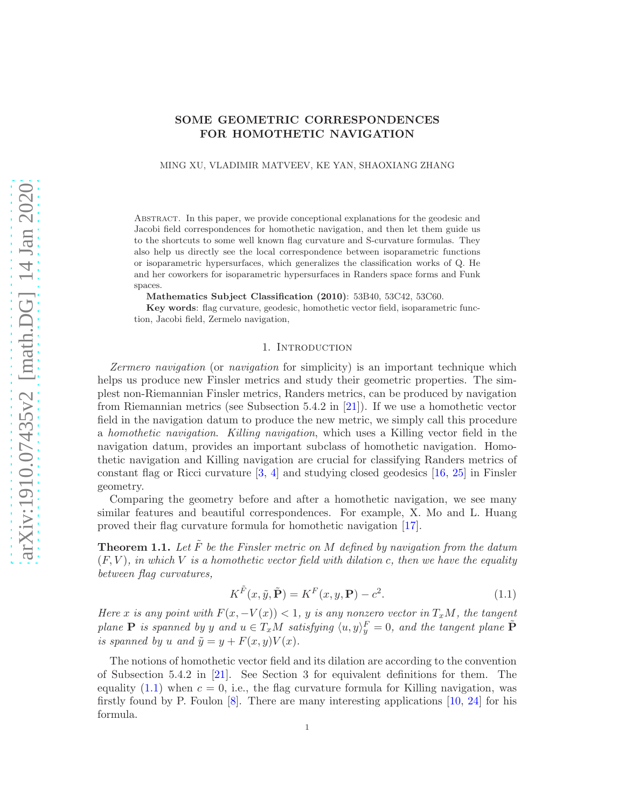# <span id="page-0-2"></span>SOME GEOMETRIC CORRESPONDENCES FOR HOMOTHETIC NAVIGATION

MING XU, VLADIMIR MATVEEV, KE YAN, SHAOXIANG ZHANG

Abstract. In this paper, we provide conceptional explanations for the geodesic and Jacobi field correspondences for homothetic navigation, and then let them guide us to the shortcuts to some well known flag curvature and S-curvature formulas. They also help us directly see the local correspondence between isoparametric functions or isoparametric hypersurfaces, which generalizes the classification works of Q. He and her coworkers for isoparametric hypersurfaces in Randers space forms and Funk spaces.

Mathematics Subject Classification (2010): 53B40, 53C42, 53C60.

Key words: flag curvature, geodesic, homothetic vector field, isoparametric function, Jacobi field, Zermelo navigation,

### 1. Introduction

Zermero navigation (or navigation for simplicity) is an important technique which helps us produce new Finsler metrics and study their geometric properties. The simplest non-Riemannian Finsler metrics, Randers metrics, can be produced by navigation from Riemannian metrics (see Subsection 5.4.2 in [\[21\]](#page-18-0)). If we use a homothetic vector field in the navigation datum to produce the new metric, we simply call this procedure a homothetic navigation. Killing navigation, which uses a Killing vector field in the navigation datum, provides an important subclass of homothetic navigation. Homothetic navigation and Killing navigation are crucial for classifying Randers metrics of constant flag or Ricci curvature  $[3, 4]$  $[3, 4]$  and studying closed geodesics  $[16, 25]$  $[16, 25]$  in Finsler geometry.

Comparing the geometry before and after a homothetic navigation, we see many similar features and beautiful correspondences. For example, X. Mo and L. Huang proved their flag curvature formula for homothetic navigation [\[17\]](#page-18-3).

<span id="page-0-1"></span>**Theorem 1.1.** Let  $\tilde{F}$  be the Finsler metric on M defined by navigation from the datum  $(F, V)$ , in which V is a homothetic vector field with dilation c, then we have the equality between flag curvatures,

<span id="page-0-0"></span>
$$
K^{\tilde{F}}(x, \tilde{y}, \tilde{\mathbf{P}}) = K^F(x, y, \mathbf{P}) - c^2.
$$
\n(1.1)

Here x is any point with  $F(x, -V(x)) < 1$ , y is any nonzero vector in  $T_xM$ , the tangent plane **P** is spanned by y and  $u \in T_xM$  satisfying  $\langle u, y \rangle_y^F = 0$ , and the tangent plane  $\tilde{P}$ is spanned by u and  $\tilde{y} = y + F(x, y)V(x)$ .

The notions of homothetic vector field and its dilation are according to the convention of Subsection 5.4.2 in [\[21\]](#page-18-0). See Section 3 for equivalent definitions for them. The equality  $(1.1)$  when  $c = 0$ , i.e., the flag curvature formula for Killing navigation, was firstly found by P. Foulon [\[8\]](#page-17-2). There are many interesting applications [\[10,](#page-17-3) [24\]](#page-18-4) for his formula.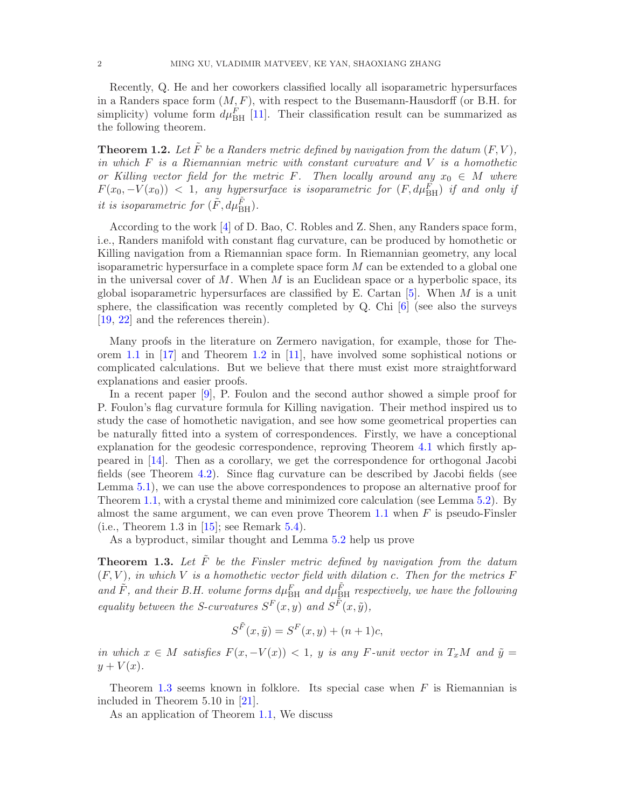<span id="page-1-2"></span>Recently, Q. He and her coworkers classified locally all isoparametric hypersurfaces in a Randers space form  $(M, F)$ , with respect to the Busemann-Hausdorff (or B.H. for simplicity) volume form  $d\mu_{\text{BH}}^F$  [\[11\]](#page-17-4). Their classification result can be summarized as the following theorem.

<span id="page-1-0"></span>**Theorem 1.2.** Let  $\tilde{F}$  be a Randers metric defined by navigation from the datum  $(F, V)$ , in which  $F$  is a Riemannian metric with constant curvature and  $V$  is a homothetic or Killing vector field for the metric F. Then locally around any  $x_0 \in M$  where  $F(x_0, -V(x_0))$  < 1, any hypersurface is isoparametric for  $(F, d\mu_{\rm BH}^F)$  if and only if it is isoparametric for  $(\tilde{F}, d\mu_{\rm BH}^{\tilde{F}})$ .

According to the work [\[4\]](#page-17-1) of D. Bao, C. Robles and Z. Shen, any Randers space form, i.e., Randers manifold with constant flag curvature, can be produced by homothetic or Killing navigation from a Riemannian space form. In Riemannian geometry, any local isoparametric hypersurface in a complete space form  $M$  can be extended to a global one in the universal cover of  $M$ . When  $M$  is an Euclidean space or a hyperbolic space, its global isoparametric hypersurfaces are classified by E. Cartan  $[5]$ . When M is a unit sphere, the classification was recently completed by Q. Chi [\[6\]](#page-17-6) (see also the surveys [\[19,](#page-18-5) [22\]](#page-18-6) and the references therein).

Many proofs in the literature on Zermero navigation, for example, those for Theorem [1.1](#page-0-1) in [\[17\]](#page-18-3) and Theorem [1.2](#page-1-0) in [\[11\]](#page-17-4), have involved some sophistical notions or complicated calculations. But we believe that there must exist more straightforward explanations and easier proofs.

In a recent paper [\[9\]](#page-17-7), P. Foulon and the second author showed a simple proof for P. Foulon's flag curvature formula for Killing navigation. Their method inspired us to study the case of homothetic navigation, and see how some geometrical properties can be naturally fitted into a system of correspondences. Firstly, we have a conceptional explanation for the geodesic correspondence, reproving Theorem [4.1](#page-6-0) which firstly appeared in [\[14\]](#page-17-8). Then as a corollary, we get the correspondence for orthogonal Jacobi fields (see Theorem [4.2\)](#page-6-1). Since flag curvature can be described by Jacobi fields (see Lemma [5.1\)](#page-8-0), we can use the above correspondences to propose an alternative proof for Theorem [1.1,](#page-0-1) with a crystal theme and minimized core calculation (see Lemma [5.2\)](#page-9-0). By almost the same argument, we can even prove Theorem [1.1](#page-0-1) when  $F$  is pseudo-Finsler (i.e., Theorem 1.3 in  $[15]$ ; see Remark [5.4\)](#page-11-0).

As a byproduct, similar thought and Lemma [5.2](#page-9-0) help us prove

<span id="page-1-1"></span>**Theorem 1.3.** Let  $\tilde{F}$  be the Finsler metric defined by navigation from the datum  $(F, V)$ , in which V is a homothetic vector field with dilation c. Then for the metrics F and  $\tilde{F}$ , and their B.H. volume forms  $d\mu_{\text{BH}}^F$  and  $d\mu_{\text{BH}}^{\tilde{F}}$  respectively, we have the following equality between the S-curvatures  $S^F(x, y)$  and  $S^{\tilde{F}}(x, \tilde{y})$ ,

$$
S^{\tilde{F}}(x,\tilde{y}) = S^{F}(x,y) + (n+1)c,
$$

in which  $x \in M$  satisfies  $F(x, -V(x)) < 1$ , y is any F-unit vector in  $T_xM$  and  $\tilde{y} =$  $y + V(x)$ .

Theorem [1.3](#page-1-1) seems known in folklore. Its special case when  $F$  is Riemannian is included in Theorem 5.10 in [\[21\]](#page-18-0).

As an application of Theorem [1.1,](#page-0-1) We discuss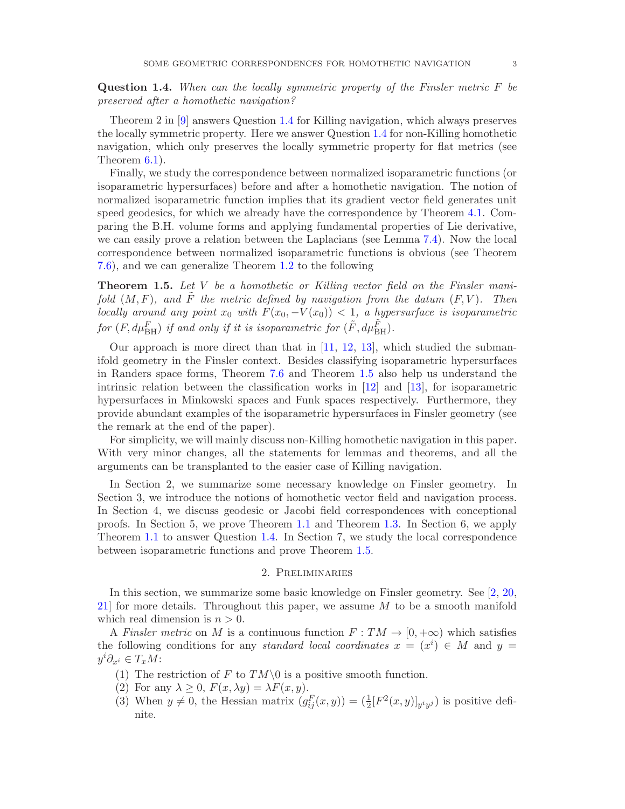<span id="page-2-2"></span><span id="page-2-0"></span>Question 1.4. When can the locally symmetric property of the Finsler metric F be preserved after a homothetic navigation?

Theorem 2 in [\[9\]](#page-17-7) answers Question [1.4](#page-2-0) for Killing navigation, which always preserves the locally symmetric property. Here we answer Question [1.4](#page-2-0) for non-Killing homothetic navigation, which only preserves the locally symmetric property for flat metrics (see Theorem [6.1\)](#page-12-0).

Finally, we study the correspondence between normalized isoparametric functions (or isoparametric hypersurfaces) before and after a homothetic navigation. The notion of normalized isoparametric function implies that its gradient vector field generates unit speed geodesics, for which we already have the correspondence by Theorem [4.1.](#page-6-0) Comparing the B.H. volume forms and applying fundamental properties of Lie derivative, we can easily prove a relation between the Laplacians (see Lemma [7.4\)](#page-15-0). Now the local correspondence between normalized isoparametric functions is obvious (see Theorem [7.6\)](#page-16-0), and we can generalize Theorem [1.2](#page-1-0) to the following

<span id="page-2-1"></span>**Theorem 1.5.** Let  $V$  be a homothetic or Killing vector field on the Finsler manifold  $(M, F)$ , and  $\tilde{F}$  the metric defined by navigation from the datum  $(F, V)$ . Then locally around any point  $x_0$  with  $F(x_0, -V(x_0)) < 1$ , a hypersurface is isoparametric for  $(F, d\mu_{\rm BH}^F)$  if and only if it is isoparametric for  $(\tilde{F}, d\mu_{\rm BH}^{\tilde{F}})$ .

Our approach is more direct than that in  $[11, 12, 13]$  $[11, 12, 13]$  $[11, 12, 13]$  $[11, 12, 13]$ , which studied the submanifold geometry in the Finsler context. Besides classifying isoparametric hypersurfaces in Randers space forms, Theorem [7.6](#page-16-0) and Theorem [1.5](#page-2-1) also help us understand the intrinsic relation between the classification works in [\[12\]](#page-17-10) and [\[13\]](#page-17-11), for isoparametric hypersurfaces in Minkowski spaces and Funk spaces respectively. Furthermore, they provide abundant examples of the isoparametric hypersurfaces in Finsler geometry (see the remark at the end of the paper).

For simplicity, we will mainly discuss non-Killing homothetic navigation in this paper. With very minor changes, all the statements for lemmas and theorems, and all the arguments can be transplanted to the easier case of Killing navigation.

In Section 2, we summarize some necessary knowledge on Finsler geometry. In Section 3, we introduce the notions of homothetic vector field and navigation process. In Section 4, we discuss geodesic or Jacobi field correspondences with conceptional proofs. In Section 5, we prove Theorem [1.1](#page-0-1) and Theorem [1.3.](#page-1-1) In Section 6, we apply Theorem [1.1](#page-0-1) to answer Question [1.4.](#page-2-0) In Section 7, we study the local correspondence between isoparametric functions and prove Theorem [1.5.](#page-2-1)

### 2. Preliminaries

In this section, we summarize some basic knowledge on Finsler geometry. See [\[2,](#page-17-12) [20,](#page-18-7) [21\]](#page-18-0) for more details. Throughout this paper, we assume  $M$  to be a smooth manifold which real dimension is  $n > 0$ .

A Finsler metric on M is a continuous function  $F: TM \to [0, +\infty)$  which satisfies the following conditions for any standard local coordinates  $x = (x^i) \in M$  and  $y =$  $y^i\partial_{x^i}\in T_xM$ :

- (1) The restriction of F to  $TM\setminus 0$  is a positive smooth function.
- (2) For any  $\lambda \geq 0$ ,  $F(x, \lambda y) = \lambda F(x, y)$ .
- (3) When  $y \neq 0$ , the Hessian matrix  $(g_{ij}^F(x, y)) = (\frac{1}{2} [F^2(x, y)]_{y^i y^j})$  is positive definite.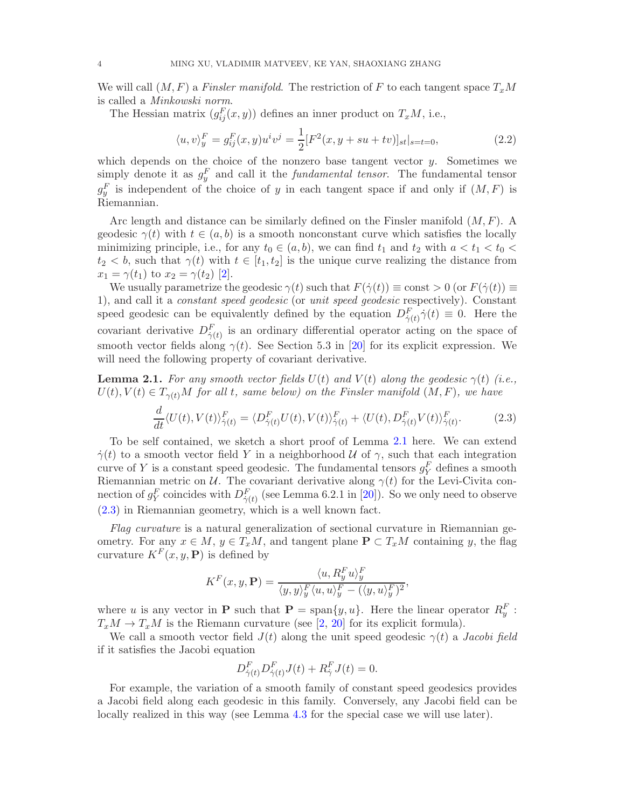<span id="page-3-3"></span>We will call  $(M, F)$  a Finsler manifold. The restriction of F to each tangent space  $T_xM$ is called a Minkowski norm.

The Hessian matrix  $(g_{ij}^F(x, y))$  defines an inner product on  $T_xM$ , i.e.,

<span id="page-3-2"></span>
$$
\langle u, v \rangle_y^F = g_{ij}^F(x, y) u^i v^j = \frac{1}{2} [F^2(x, y + su + tv)]_{st} |_{s=t=0},
$$
\n(2.2)

which depends on the choice of the nonzero base tangent vector  $y$ . Sometimes we simply denote it as  $g_y^F$  and call it the *fundamental tensor*. The fundamental tensor  $g_y^F$  is independent of the choice of y in each tangent space if and only if  $(M, F)$  is Riemannian.

Arc length and distance can be similarly defined on the Finsler manifold  $(M, F)$ . A geodesic  $\gamma(t)$  with  $t \in (a, b)$  is a smooth nonconstant curve which satisfies the locally minimizing principle, i.e., for any  $t_0 \in (a, b)$ , we can find  $t_1$  and  $t_2$  with  $a < t_1 < t_0$  $t_2 < b$ , such that  $\gamma(t)$  with  $t \in [t_1, t_2]$  is the unique curve realizing the distance from  $x_1 = \gamma(t_1)$  to  $x_2 = \gamma(t_2)$  [\[2\]](#page-17-12).

We usually parametrize the geodesic  $\gamma(t)$  such that  $F(\dot{\gamma}(t)) \equiv \text{const} > 0$  (or  $F(\dot{\gamma}(t)) \equiv$ 1), and call it a constant speed geodesic (or unit speed geodesic respectively). Constant speed geodesic can be equivalently defined by the equation  $D_{\dot{\gamma}(t)}^F \dot{\gamma}(t) \equiv 0$ . Here the covariant derivative  $D_{\dot{\gamma}(t)}^F$  is an ordinary differential operator acting on the space of smooth vector fields along  $\gamma(t)$ . See Section 5.3 in [\[20\]](#page-18-7) for its explicit expression. We will need the following property of covariant derivative.

<span id="page-3-0"></span>**Lemma 2.1.** For any smooth vector fields  $U(t)$  and  $V(t)$  along the geodesic  $\gamma(t)$  (i.e.,  $U(t), V(t) \in T_{\gamma(t)}M$  for all t, same below) on the Finsler manifold  $(M, F)$ , we have

<span id="page-3-1"></span>
$$
\frac{d}{dt}\langle U(t), V(t)\rangle_{\dot{\gamma}(t)}^F = \langle D_{\dot{\gamma}(t)}^F U(t), V(t)\rangle_{\dot{\gamma}(t)}^F + \langle U(t), D_{\dot{\gamma}(t)}^F V(t)\rangle_{\dot{\gamma}(t)}^F.
$$
\n(2.3)

To be self contained, we sketch a short proof of Lemma [2.1](#page-3-0) here. We can extend  $\dot{\gamma}(t)$  to a smooth vector field Y in a neighborhood U of  $\gamma$ , such that each integration curve of Y is a constant speed geodesic. The fundamental tensors  $g_Y^F$  defines a smooth Riemannian metric on  $\mathcal U$ . The covariant derivative along  $\gamma(t)$  for the Levi-Civita connection of  $g_Y^F$  coincides with  $D_{\dot{\gamma}(t)}^F$  (see Lemma 6.2.1 in [\[20\]](#page-18-7)). So we only need to observe [\(2.3\)](#page-3-1) in Riemannian geometry, which is a well known fact.

Flag curvature is a natural generalization of sectional curvature in Riemannian geometry. For any  $x \in M$ ,  $y \in T_xM$ , and tangent plane  $P \subset T_xM$  containing y, the flag curvature  $K^F(x, y, \mathbf{P})$  is defined by

$$
K^{F}(x, y, \mathbf{P}) = \frac{\langle u, R_y^F u \rangle_y^F}{\langle y, y \rangle_y^F \langle u, u \rangle_y^F - (\langle y, u \rangle_y^F)^2},
$$

where u is any vector in **P** such that  $\mathbf{P} = \text{span}\{y, u\}$ . Here the linear operator  $R_y^F$ :  $T_xM \to T_xM$  is the Riemann curvature (see [\[2,](#page-17-12) [20\]](#page-18-7) for its explicit formula).

We call a smooth vector field  $J(t)$  along the unit speed geodesic  $\gamma(t)$  a Jacobi field if it satisfies the Jacobi equation

$$
D_{\dot{\gamma}(t)}^F D_{\dot{\gamma}(t)}^F J(t) + R_{\dot{\gamma}}^F J(t) = 0.
$$

For example, the variation of a smooth family of constant speed geodesics provides a Jacobi field along each geodesic in this family. Conversely, any Jacobi field can be locally realized in this way (see Lemma [4.3](#page-7-0) for the special case we will use later).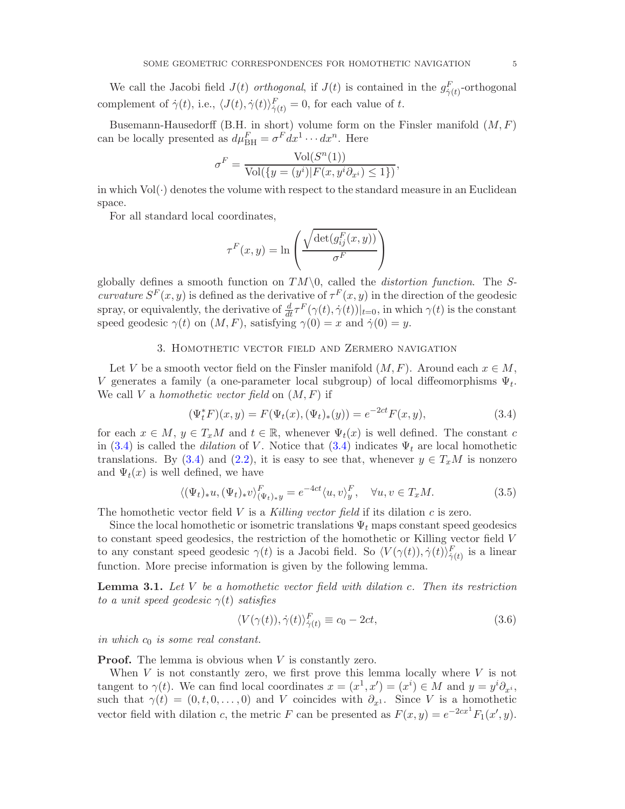We call the Jacobi field  $J(t)$  orthogonal, if  $J(t)$  is contained in the  $g_{\dot{\gamma}(t)}^F$ -orthogonal complement of  $\dot{\gamma}(t)$ , i.e.,  $\langle J(t), \dot{\gamma}(t) \rangle_{\dot{\gamma}(t)}^F = 0$ , for each value of t.

Busemann-Hausedorff (B.H. in short) volume form on the Finsler manifold  $(M, F)$ can be locally presented as  $d\mu_{\text{BH}}^F = \sigma^F dx^1 \cdots dx^n$ . Here

$$
\sigma^F = \frac{\text{Vol}(S^n(1))}{\text{Vol}(\{y = (y^i) | F(x, y^i \partial_{x^i}) \le 1\})},
$$

in which  $Vol(\cdot)$  denotes the volume with respect to the standard measure in an Euclidean space.

For all standard local coordinates,

$$
\tau^{F}(x, y) = \ln \left( \frac{\sqrt{\det(g_{ij}^{F}(x, y))}}{\sigma^{F}} \right)
$$

globally defines a smooth function on  $TM\setminus 0$ , called the *distortion function*. The Scurvature  $S^F(x, y)$  is defined as the derivative of  $\tau^F(x, y)$  in the direction of the geodesic spray, or equivalently, the derivative of  $\frac{d}{dt}\tau^F(\gamma(t),\dot{\gamma}(t))|_{t=0}$ , in which  $\gamma(t)$  is the constant speed geodesic  $\gamma(t)$  on  $(M, F)$ , satisfying  $\gamma(0) = x$  and  $\dot{\gamma}(0) = y$ .

## 3. Homothetic vector field and Zermero navigation

Let V be a smooth vector field on the Finsler manifold  $(M, F)$ . Around each  $x \in M$ , V generates a family (a one-parameter local subgroup) of local diffeomorphisms  $\Psi_t$ . We call V a homothetic vector field on  $(M, F)$  if

<span id="page-4-0"></span>
$$
(\Psi_t^* F)(x, y) = F(\Psi_t(x), (\Psi_t)_*(y)) = e^{-2ct} F(x, y), \tag{3.4}
$$

for each  $x \in M$ ,  $y \in T_xM$  and  $t \in \mathbb{R}$ , whenever  $\Psi_t(x)$  is well defined. The constant c in [\(3.4\)](#page-4-0) is called the *dilation* of V. Notice that (3.4) indicates  $\Psi_t$  are local homothetic translations. By [\(3.4\)](#page-4-0) and [\(2.2\)](#page-3-2), it is easy to see that, whenever  $y \in T_xM$  is nonzero and  $\Psi_t(x)$  is well defined, we have

<span id="page-4-2"></span>
$$
\langle (\Psi_t)_* u, (\Psi_t)_* v \rangle_{(\Psi_t)_* y}^F = e^{-4ct} \langle u, v \rangle_y^F, \quad \forall u, v \in T_x M. \tag{3.5}
$$

The homothetic vector field V is a Killing vector field if its dilation c is zero.

Since the local homothetic or isometric translations  $\Psi_t$  maps constant speed geodesics to constant speed geodesics, the restriction of the homothetic or Killing vector field V to any constant speed geodesic  $\gamma(t)$  is a Jacobi field. So  $\langle V(\gamma(t)), \dot{\gamma}(t) \rangle_{\dot{\gamma}(t)}^F$  is a linear function. More precise information is given by the following lemma.

<span id="page-4-1"></span>**Lemma 3.1.** Let V be a homothetic vector field with dilation c. Then its restriction to a unit speed geodesic  $\gamma(t)$  satisfies

$$
\langle V(\gamma(t)), \dot{\gamma}(t) \rangle_{\dot{\gamma}(t)}^F \equiv c_0 - 2ct,\tag{3.6}
$$

in which  $c_0$  is some real constant.

**Proof.** The lemma is obvious when  $V$  is constantly zero.

When  $V$  is not constantly zero, we first prove this lemma locally where  $V$  is not tangent to  $\gamma(t)$ . We can find local coordinates  $x = (x^1, x') = (x^i) \in M$  and  $y = y^i \partial_{x^i}$ , such that  $\gamma(t) = (0, t, 0, \dots, 0)$  and V coincides with  $\partial_{x^1}$ . Since V is a homothetic vector field with dilation c, the metric F can be presented as  $F(x, y) = e^{-2cx^1} F_1(x', y)$ .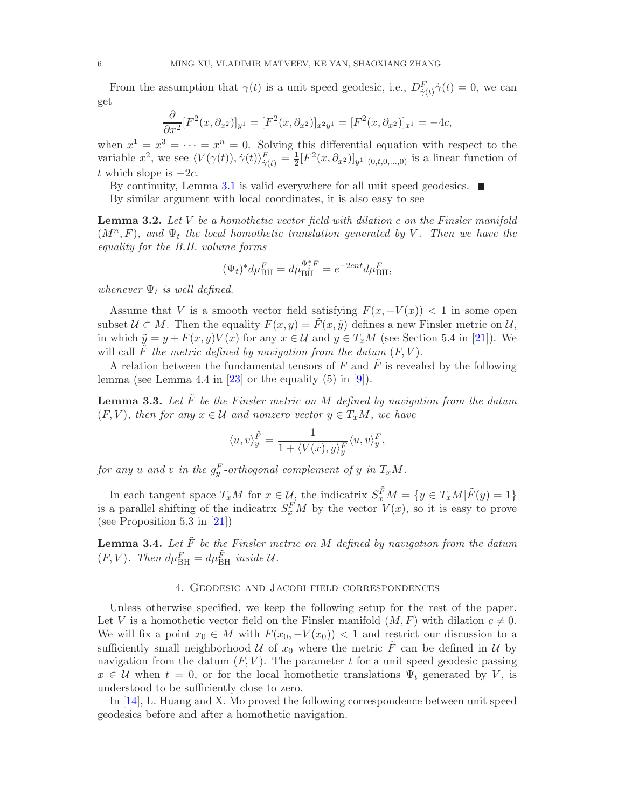<span id="page-5-4"></span>From the assumption that  $\gamma(t)$  is a unit speed geodesic, i.e.,  $D_{\dot{\gamma}(t)}^F \dot{\gamma}(t) = 0$ , we can get

$$
\frac{\partial}{\partial x^2} [F^2(x, \partial_{x^2})]_{y^1} = [F^2(x, \partial_{x^2})]_{x^2 y^1} = [F^2(x, \partial_{x^2})]_{x^1} = -4c,
$$

when  $x^1 = x^3 = \cdots = x^n = 0$ . Solving this differential equation with respect to the variable  $x^2$ , we see  $\langle V(\gamma(t)), \dot{\gamma}(t) \rangle_{\dot{\gamma}(t)}^F = \frac{1}{2}$  $\frac{1}{2}[F^2(x, \partial_{x^2})]_{y^1}|_{(0,t,0,\ldots,0)}$  is a linear function of t which slope is  $-2c$ .

By continuity, Lemma [3.1](#page-4-1) is valid everywhere for all unit speed geodesics.  $\blacksquare$ 

By similar argument with local coordinates, it is also easy to see

<span id="page-5-3"></span>**Lemma 3.2.** Let  $V$  be a homothetic vector field with dilation c on the Finsler manifold  $(M^n, F)$ , and  $\Psi_t$  the local homothetic translation generated by V. Then we have the equality for the B.H. volume forms

$$
(\Psi_t)^* d\mu_{\text{BH}}^F = d\mu_{\text{BH}}^{\Psi_t^* F} = e^{-2cnt} d\mu_{\text{BH}}^F,
$$

whenever  $\Psi_t$  is well defined.

Assume that V is a smooth vector field satisfying  $F(x, -V(x)) < 1$  in some open subset  $\mathcal{U} \subset M$ . Then the equality  $F(x, y) = \tilde{F}(x, \tilde{y})$  defines a new Finsler metric on  $\mathcal{U}$ , in which  $\tilde{y} = y + F(x, y)V(x)$  for any  $x \in \mathcal{U}$  and  $y \in T_xM$  (see Section 5.4 in [\[21\]](#page-18-0)). We will call  $\tilde{F}$  the metric defined by navigation from the datum  $(F, V)$ .

A relation between the fundamental tensors of F and  $\tilde{F}$  is revealed by the following lemma (see Lemma 4.4 in  $[23]$  or the equality  $(5)$  in  $[9]$ ).

<span id="page-5-0"></span>**Lemma 3.3.** Let  $\tilde{F}$  be the Finsler metric on M defined by navigation from the datum  $(F, V)$ , then for any  $x \in \mathcal{U}$  and nonzero vector  $y \in T_xM$ , we have

$$
\langle u, v \rangle_{\tilde{y}}^{\tilde{F}} = \frac{1}{1 + \langle V(x), y \rangle_{y}^{F}} \langle u, v \rangle_{y}^{F},
$$

for any  $u$  and  $v$  in the  $g_y^F$ -orthogonal complement of  $y$  in  $T_xM$ .

In each tangent space  $T_xM$  for  $x \in \mathcal{U}$ , the indicatrix  $S_x^{\tilde{F}}M = \{y \in T_xM|\tilde{F}(y) = 1\}$ is a parallel shifting of the indicatry  $S_x^F M$  by the vector  $V(x)$ , so it is easy to prove (see Proposition 5.3 in [\[21\]](#page-18-0))

<span id="page-5-2"></span>**Lemma 3.4.** Let  $\tilde{F}$  be the Finsler metric on M defined by navigation from the datum  $(F, V)$ . Then  $d\mu_{\text{BH}}^F = d\mu_{\text{BH}}^{\tilde{F}}$  inside  $\mathcal{U}$ .

### 4. Geodesic and Jacobi field correspondences

<span id="page-5-1"></span>Unless otherwise specified, we keep the following setup for the rest of the paper. Let V is a homothetic vector field on the Finsler manifold  $(M, F)$  with dilation  $c \neq 0$ . We will fix a point  $x_0 \in M$  with  $F(x_0, -V(x_0)) < 1$  and restrict our discussion to a sufficiently small neighborhood U of  $x_0$  where the metric  $\tilde{F}$  can be defined in U by navigation from the datum  $(F, V)$ . The parameter t for a unit speed geodesic passing  $x \in \mathcal{U}$  when  $t = 0$ , or for the local homothetic translations  $\Psi_t$  generated by V, is understood to be sufficiently close to zero.

In [\[14\]](#page-17-8), L. Huang and X. Mo proved the following correspondence between unit speed geodesics before and after a homothetic navigation.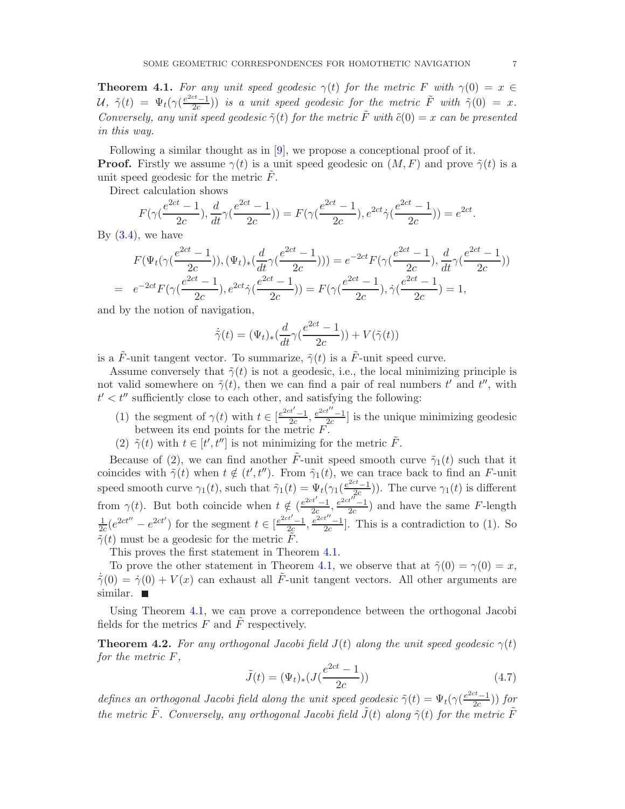<span id="page-6-3"></span><span id="page-6-0"></span>**Theorem 4.1.** For any unit speed geodesic  $\gamma(t)$  for the metric F with  $\gamma(0) = x \in$  $\mathcal{U}, \ \tilde{\gamma}(t) \ = \ \Psi_t(\gamma(\frac{e^{2ct}-1}{2c}))$  $\left(\frac{ct-1}{2c}\right)$ ) is a unit speed geodesic for the metric  $\tilde{F}$  with  $\tilde{\gamma}(0) = x$ . Conversely, any unit speed geodesic  $\tilde{\gamma}(t)$  for the metric  $\tilde{F}$  with  $\tilde{c}(0) = x$  can be presented in this way.

Following a similar thought as in [\[9\]](#page-17-7), we propose a conceptional proof of it. **Proof.** Firstly we assume  $\gamma(t)$  is a unit speed geodesic on  $(M, F)$  and prove  $\tilde{\gamma}(t)$  is a unit speed geodesic for the metric  $\tilde{F}$ .

Direct calculation shows

$$
F(\gamma(\frac{e^{2ct} - 1}{2c}), \frac{d}{dt}\gamma(\frac{e^{2ct} - 1}{2c})) = F(\gamma(\frac{e^{2ct} - 1}{2c}), e^{2ct}\gamma(\frac{e^{2ct} - 1}{2c})) = e^{2ct}.
$$

By  $(3.4)$ , we have

$$
F(\Psi_t(\gamma(\frac{e^{2ct} - 1}{2c})), (\Psi_t)_*(\frac{d}{dt}\gamma(\frac{e^{2ct} - 1}{2c}))) = e^{-2ct}F(\gamma(\frac{e^{2ct} - 1}{2c}), \frac{d}{dt}\gamma(\frac{e^{2ct} - 1}{2c}))
$$
  
=  $e^{-2ct}F(\gamma(\frac{e^{2ct} - 1}{2c}), e^{2ct}\gamma(\frac{e^{2ct} - 1}{2c})) = F(\gamma(\frac{e^{2ct} - 1}{2c}), \gamma(\frac{e^{2ct} - 1}{2c}) = 1,$ 

and by the notion of navigation,

$$
\dot{\tilde{\gamma}}(t) = (\Psi_t)_*(\frac{d}{dt}\gamma(\frac{e^{2ct} - 1}{2c})) + V(\tilde{\gamma}(t))
$$

is a  $\tilde{F}$ -unit tangent vector. To summarize,  $\tilde{\gamma}(t)$  is a  $\tilde{F}$ -unit speed curve.

Assume conversely that  $\tilde{\gamma}(t)$  is not a geodesic, i.e., the local minimizing principle is not valid somewhere on  $\tilde{\gamma}(t)$ , then we can find a pair of real numbers  $t'$  and  $t''$ , with  $t' < t''$  sufficiently close to each other, and satisfying the following:

- (1) the segment of  $\gamma(t)$  with  $t \in \left[\frac{e^{2ct'}-1}{2c}\right]$  $\frac{e^{2ct''}-1}{2c}$ ,  $\frac{e^{2ct''}-1}{2c}$  $\frac{1}{2c}$  is the unique minimizing geodesic between its end points for the metric F.
- (2)  $\tilde{\gamma}(t)$  with  $t \in [t', t'']$  is not minimizing for the metric  $\tilde{F}$ .

Because of (2), we can find another  $\tilde{F}$ -unit speed smooth curve  $\tilde{\gamma}_1(t)$  such that it coincides with  $\tilde{\gamma}(t)$  when  $t \notin (t', t'')$ . From  $\tilde{\gamma}_1(t)$ , we can trace back to find an F-unit speed smooth curve  $\gamma_1(t)$ , such that  $\tilde{\gamma}_1(t) = \Psi_t(\gamma_1(\frac{e^{2ct}-1}{2c}))$  $(\frac{2c-1}{2c})$ ). The curve  $\gamma_1(t)$  is different from  $\gamma(t)$ . But both coincide when  $t \notin \left(\frac{e^{2ct'}-1}{2c}\right)$  $\frac{e^{2ct}}{2c}, \frac{e^{2ct}}{2c}$  $\frac{c}{2c}$ ) and have the same F-length 1  $\frac{1}{2c}(e^{2ct''}-e^{2ct'})$  for the segment  $t \in \left[\frac{e^{2ct'}-1}{2c}\right]$  $rac{e^{2ct}}{2c}$ ,  $rac{e^{2ct}}{2c}$  $\frac{1}{2c}$ . This is a contradiction to (1). So  $\tilde{\tilde{\gamma}}(t)$  must be a geodesic for the metric  $\tilde{\tilde{F}}$ .

This proves the first statement in Theorem [4.1.](#page-6-0)

To prove the other statement in Theorem [4.1,](#page-6-0) we observe that at  $\tilde{\gamma}(0) = \gamma(0) = x$ ,  $\dot{\tilde{\gamma}}(0) = \dot{\gamma}(0) + V(x)$  can exhaust all  $\tilde{F}$ -unit tangent vectors. All other arguments are similar.  $\blacksquare$ 

Using Theorem [4.1,](#page-6-0) we can prove a correpondence between the orthogonal Jacobi fields for the metrics  $F$  and  $\tilde{F}$  respectively.

<span id="page-6-1"></span>**Theorem 4.2.** For any orthogonal Jacobi field  $J(t)$  along the unit speed geodesic  $\gamma(t)$ for the metric F,

<span id="page-6-2"></span>
$$
\tilde{J}(t) = (\Psi_t)_*(J(\frac{e^{2ct} - 1}{2c}))
$$
\n(4.7)

defines an orthogonal Jacobi field along the unit speed geodesic  $\tilde{\gamma}(t) = \Psi_t(\gamma(\frac{e^{2ct}-1}{2c}))$  $\frac{z^{i}-1}{2c})$ ) for the metric  $\tilde{F}$ . Conversely, any orthogonal Jacobi field  $\tilde{J}(t)$  along  $\tilde{\gamma}(t)$  for the metric  $\tilde{F}$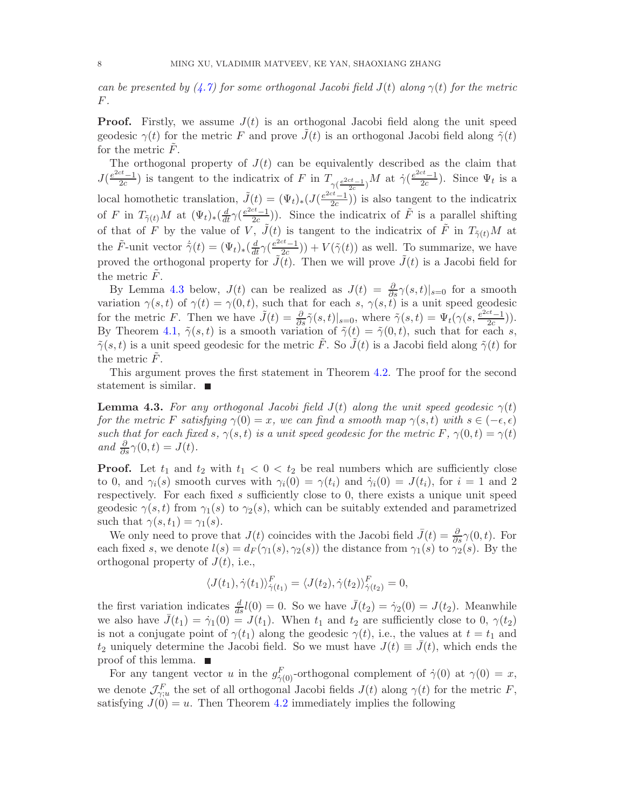can be presented by  $(4.7)$  for some orthogonal Jacobi field  $J(t)$  along  $\gamma(t)$  for the metric F.

**Proof.** Firstly, we assume  $J(t)$  is an orthogonal Jacobi field along the unit speed geodesic  $\gamma(t)$  for the metric F and prove  $J(t)$  is an orthogonal Jacobi field along  $\tilde{\gamma}(t)$ for the metric  $F$ .

The orthogonal property of  $J(t)$  can be equivalently described as the claim that  $J\left(\frac{e^{2ct}-1}{2c}\right)$  $\frac{ct-1}{2c}$ ) is tangent to the indicatrix of F in  $T_{\gamma(\frac{e^{2ct}-1}{2c})}M$  at  $\dot{\gamma}(\frac{e^{2ct}-1}{2c})$ local homothetic translation,  $\tilde{J}(t) = (\Psi_t)_*(J(\frac{e^{2ct}-1}{2c}))$  $\frac{c^{2}-1}{2c}$ ). Since  $\Psi_{t}$  is a  $\frac{2c-1}{2c}$ ) is also tangent to the indicatrix of F in  $T_{\tilde{\gamma}(t)}M$  at  $(\Psi_t)_*(\frac{d}{dt}\gamma(\frac{e^{2ct}-1}{2c})$  $\frac{ct-1}{2c}$ )). Since the indicatrix of  $\tilde{F}$  is a parallel shifting of that of F by the value of V,  $\tilde{J}(t)$  is tangent to the indicatrix of  $\tilde{F}$  in  $T_{\tilde{\gamma}(t)}M$  at the  $\tilde{F}$ -unit vector  $\dot{\tilde{\gamma}}(t) = (\Psi_t)_*(\frac{d}{dt}\gamma(\frac{e^{2ct}-1}{2c})$  $\left(\frac{2c-1}{2c}\right)$  +  $V(\tilde{\gamma}(t))$  as well. To summarize, we have proved the orthogonal property for  $\tilde{J}(t)$ . Then we will prove  $\tilde{J}(t)$  is a Jacobi field for the metric  $F$ .

By Lemma [4.3](#page-7-0) below,  $J(t)$  can be realized as  $J(t) = \frac{\partial}{\partial s}\gamma(s,t)|_{s=0}$  for a smooth variation  $\gamma(s,t)$  of  $\gamma(t) = \gamma(0,t)$ , such that for each s,  $\gamma(s,t)$  is a unit speed geodesic for the metric F. Then we have  $\tilde{J}(t) = \frac{\partial}{\partial s} \tilde{\gamma}(s,t)|_{s=0}$ , where  $\tilde{\gamma}(s,t) = \Psi_t(\gamma(s, \frac{e^{2ct}-1}{2c}))$  $\frac{c^{c}-1}{2c})$ ). By Theorem [4.1,](#page-6-0)  $\tilde{\gamma}(s,t)$  is a smooth variation of  $\tilde{\gamma}(t) = \tilde{\gamma}(0,t)$ , such that for each s,  $\tilde{\gamma}(s,t)$  is a unit speed geodesic for the metric  $\tilde{F}$ . So  $\tilde{J}(t)$  is a Jacobi field along  $\tilde{\gamma}(t)$  for the metric  $F$ .

This argument proves the first statement in Theorem [4.2.](#page-6-1) The proof for the second statement is similar.

<span id="page-7-0"></span>**Lemma 4.3.** For any orthogonal Jacobi field  $J(t)$  along the unit speed geodesic  $\gamma(t)$ for the metric F satisfying  $\gamma(0) = x$ , we can find a smooth map  $\gamma(s,t)$  with  $s \in (-\epsilon, \epsilon)$ such that for each fixed s,  $\gamma(s,t)$  is a unit speed geodesic for the metric F,  $\gamma(0,t) = \gamma(t)$ and  $\frac{\partial}{\partial s}\gamma(0,t) = J(t)$ .

**Proof.** Let  $t_1$  and  $t_2$  with  $t_1 < 0 < t_2$  be real numbers which are sufficiently close to 0, and  $\gamma_i(s)$  smooth curves with  $\gamma_i(0) = \gamma(t_i)$  and  $\dot{\gamma}_i(0) = J(t_i)$ , for  $i = 1$  and 2 respectively. For each fixed s sufficiently close to 0, there exists a unique unit speed geodesic  $\gamma(s,t)$  from  $\gamma_1(s)$  to  $\gamma_2(s)$ , which can be suitably extended and parametrized such that  $\gamma(s, t_1) = \gamma_1(s)$ .

We only need to prove that  $J(t)$  coincides with the Jacobi field  $\bar{J}(t) = \frac{\partial}{\partial s}\gamma(0,t)$ . For each fixed s, we denote  $l(s) = d_F(\gamma_1(s), \gamma_2(s))$  the distance from  $\gamma_1(s)$  to  $\gamma_2(s)$ . By the orthogonal property of  $J(t)$ , i.e.,

$$
\langle J(t_1), \dot{\gamma}(t_1) \rangle_{\dot{\gamma}(t_1)}^F = \langle J(t_2), \dot{\gamma}(t_2) \rangle_{\dot{\gamma}(t_2)}^F = 0,
$$

the first variation indicates  $\frac{d}{ds}l(0) = 0$ . So we have  $\bar{J}(t_2) = \dot{\gamma}_2(0) = J(t_2)$ . Meanwhile we also have  $\bar{J}(t_1) = \dot{\gamma}_1(0) = J(t_1)$ . When  $t_1$  and  $t_2$  are sufficiently close to 0,  $\gamma(t_2)$ is not a conjugate point of  $\gamma(t_1)$  along the geodesic  $\gamma(t)$ , i.e., the values at  $t = t_1$  and  $t_2$  uniquely determine the Jacobi field. So we must have  $J(t) \equiv \bar{J}(t)$ , which ends the proof of this lemma.  $\blacksquare$ 

For any tangent vector u in the  $g_{\dot{\gamma}(0)}^F$ -orthogonal complement of  $\dot{\gamma}(0)$  at  $\gamma(0) = x$ , we denote  $\mathcal{J}_{\gamma;u}^F$  the set of all orthogonal Jacobi fields  $J(t)$  along  $\gamma(t)$  for the metric F, satisfying  $J(0) = u$ . Then Theorem [4.2](#page-6-1) immediately implies the following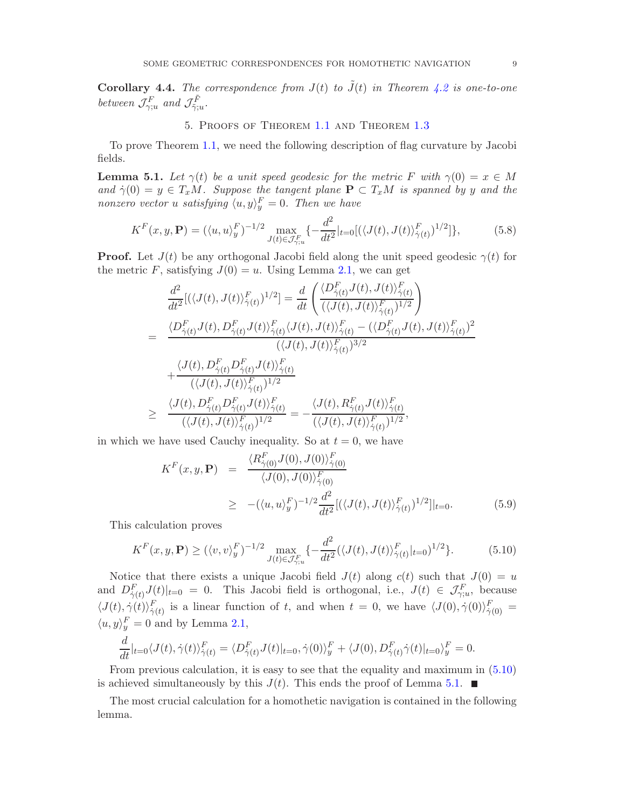<span id="page-8-2"></span>**Corollary 4.4.** The correspondence from  $J(t)$  to  $\tilde{J}(t)$  in Theorem [4.2](#page-6-1) is one-to-one between  $\mathcal{J}_{\gamma;u}^F$  and  $\mathcal{J}_{\tilde{\gamma};u}^{\tilde{F}}$ .

## 5. Proofs of Theorem [1.1](#page-0-1) and Theorem [1.3](#page-1-1)

To prove Theorem [1.1,](#page-0-1) we need the following description of flag curvature by Jacobi fields.

<span id="page-8-0"></span>**Lemma 5.1.** Let  $\gamma(t)$  be a unit speed geodesic for the metric F with  $\gamma(0) = x \in M$ and  $\dot{\gamma}(0) = y \in T_xM$ . Suppose the tangent plane  $P \subset T_xM$  is spanned by y and the nonzero vector u satisfying  $\langle u, y \rangle_y^F = 0$ . Then we have

$$
K^{F}(x, y, \mathbf{P}) = (\langle u, u \rangle_{y}^{F})^{-1/2} \max_{J(t) \in \mathcal{J}_{\gamma; u}^{F}} \{-\frac{d^{2}}{dt^{2}}|_{t=0} [(\langle J(t), J(t) \rangle_{\dot{\gamma}(t)}^{F})^{1/2}]\},
$$
(5.8)

**Proof.** Let  $J(t)$  be any orthogonal Jacobi field along the unit speed geodesic  $\gamma(t)$  for the metric F, satisfying  $J(0) = u$ . Using Lemma [2.1,](#page-3-0) we can get

$$
\frac{d^2}{dt^2} [(\langle J(t), J(t) \rangle_{\dot{\gamma}(t)}^F)^{1/2}] = \frac{d}{dt} \left( \frac{\langle D_{\dot{\gamma}(t)}^F J(t), J(t) \rangle_{\dot{\gamma}(t)}^F}{(\langle J(t), J(t) \rangle_{\dot{\gamma}(t)}^F)^{1/2}} \right)
$$
\n
$$
= \frac{\langle D_{\dot{\gamma}(t)}^F J(t), D_{\dot{\gamma}(t)}^F J(t) \rangle_{\dot{\gamma}(t)}^F \langle J(t), J(t) \rangle_{\dot{\gamma}(t)}^F - (\langle D_{\dot{\gamma}(t)}^F J(t), J(t) \rangle_{\dot{\gamma}(t)}^F)^2}{(\langle J(t), J(t) \rangle_{\dot{\gamma}(t)}^F)^{3/2}} + \frac{\langle J(t), D_{\dot{\gamma}(t)}^F D_{\dot{\gamma}(t)}^F J(t) \rangle_{\dot{\gamma}(t)}^F}{(\langle J(t), J(t) \rangle_{\dot{\gamma}(t)}^F)^{1/2}} \ge \frac{\langle J(t), D_{\dot{\gamma}(t)}^F D_{\dot{\gamma}(t)}^F J(t) \rangle_{\dot{\gamma}(t)}^F}{(\langle J(t), J(t) \rangle_{\dot{\gamma}(t)}^F)^{1/2}} = -\frac{\langle J(t), R_{\dot{\gamma}(t)}^F J(t) \rangle_{\dot{\gamma}(t)}^F}{(\langle J(t), J(t) \rangle_{\dot{\gamma}(t)}^F)^{1/2}},
$$

in which we have used Cauchy inequality. So at  $t = 0$ , we have

$$
K^{F}(x, y, \mathbf{P}) = \frac{\langle R^{F}_{\dot{\gamma}(0)} J(0), J(0) \rangle^{F}_{\dot{\gamma}(0)}}{\langle J(0), J(0) \rangle^{F}_{\dot{\gamma}(0)}} \n\ge -(\langle u, u \rangle^{F}_{y})^{-1/2} \frac{d^{2}}{dt^{2}} [(\langle J(t), J(t) \rangle^{F}_{\dot{\gamma}(t)})^{1/2}]|_{t=0}.
$$
\n(5.9)

This calculation proves

<span id="page-8-1"></span>
$$
K^{F}(x, y, \mathbf{P}) \ge (\langle v, v \rangle_{y}^{F})^{-1/2} \max_{J(t) \in \mathcal{J}_{\gamma; u}^{F}} \left\{ -\frac{d^{2}}{dt^{2}} (\langle J(t), J(t) \rangle_{\dot{\gamma}(t)}^{F}|_{t=0})^{1/2} \right\}.
$$
 (5.10)

Notice that there exists a unique Jacobi field  $J(t)$  along  $c(t)$  such that  $J(0) = u$ and  $D_{\dot{\gamma}(t)}^F J(t)|_{t=0} = 0$ . This Jacobi field is orthogonal, i.e.,  $J(t) \in \mathcal{J}_{\gamma;u}^F$ , because  $\langle J(t), \dot{\gamma}(t) \rangle_{\dot{\gamma}(t)}^F$  is a linear function of t, and when  $t = 0$ , we have  $\langle J(0), \dot{\gamma}(0) \rangle_{\dot{\gamma}(0)}^F =$  $\langle u, y \rangle_y^F = 0$  and by Lemma [2.1,](#page-3-0)

$$
\frac{d}{dt}|_{t=0}\langle J(t),\dot{\gamma}(t)\rangle_{\dot{\gamma}(t)}^F = \langle D_{\dot{\gamma}(t)}^F J(t)|_{t=0},\dot{\gamma}(0)\rangle_y^F + \langle J(0),D_{\dot{\gamma}(t)}^F \dot{\gamma}(t)|_{t=0}\rangle_y^F = 0.
$$

From previous calculation, it is easy to see that the equality and maximum in [\(5.10\)](#page-8-1) is achieved simultaneously by this  $J(t)$ . This ends the proof of Lemma [5.1.](#page-8-0)  $\blacksquare$ 

The most crucial calculation for a homothetic navigation is contained in the following lemma.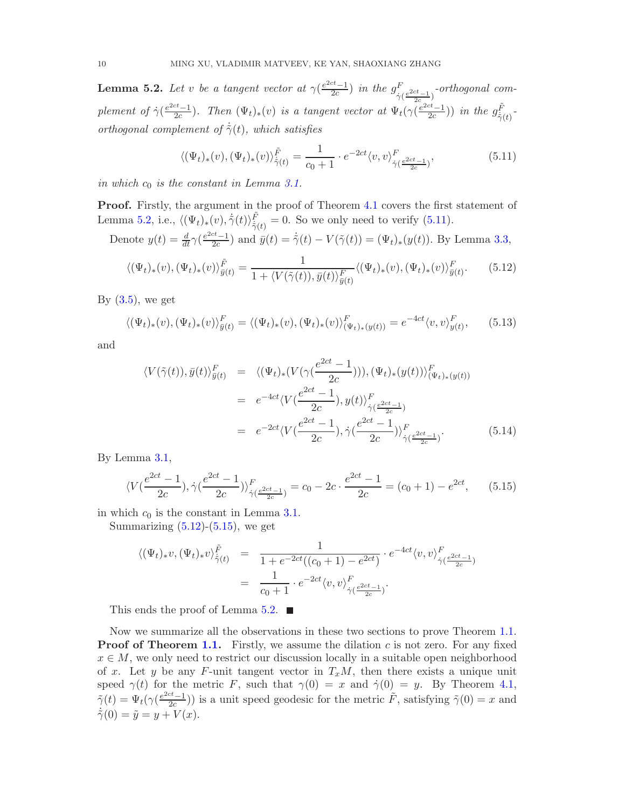<span id="page-9-0"></span>**Lemma 5.2.** Let v be a tangent vector at  $\gamma(\frac{e^{2ct}-1}{2c})$  $\frac{c^{t}-1}{2c}$ ) in the  $g_{\dot{\gamma}}^{F}$  $\frac{F}{\dot{\gamma}(\frac{e^{2ct}-1}{2c})}$ -orthogonal com- $_{2c}$ plement of  $\dot{\gamma}(\frac{e^{2ct}-1}{2c})$  $\frac{ct-1}{2c}$ ). Then  $(\Psi_t)_*(v)$  is a tangent vector at  $\Psi_t(\gamma(\frac{e^{2ct}-1}{2c}))$  $\frac{c^t-1}{2c})$ ) in the  $g_{\dot{\tilde{\gamma}}(t)}^{\tilde{F}}$  $\frac{\dot{r}}{\dot{\gamma}(t)}$  orthogonal complement of  $\dot{\tilde{\gamma}}(t)$ , which satisfies

<span id="page-9-1"></span>
$$
\langle (\Psi_t)_*(v), (\Psi_t)_*(v) \rangle_{\dot{\tilde{\gamma}}(t)}^{\tilde{F}} = \frac{1}{c_0 + 1} \cdot e^{-2ct} \langle v, v \rangle_{\dot{\gamma}(\frac{e^{2ct} - 1}{2c})}^F,
$$
(5.11)

in which  $c_0$  is the constant in Lemma [3.1.](#page-4-1)

**Proof.** Firstly, the argument in the proof of Theorem [4.1](#page-6-0) covers the first statement of Lemma [5.2,](#page-9-0) i.e.,  $\langle (\Psi_t)_*(v), \dot{\tilde{\gamma}}(t) \rangle_{\dot{\tilde{\gamma}}_{\tilde{\gamma}}}^{\tilde{F}}$  $f_{\dot{\gamma}(t)}^{\prime} = 0$ . So we only need to verify  $(5.11)$ .

Denote 
$$
y(t) = \frac{d}{dt}\gamma(\frac{e^{2ct}-1}{2c})
$$
 and  $\bar{y}(t) = \dot{\gamma}(t) - V(\tilde{\gamma}(t)) = (\Psi_t)_*(y(t))$ . By Lemma 3.3,

<span id="page-9-2"></span>
$$
\langle (\Psi_t)_*(v), (\Psi_t)_*(v) \rangle_{\bar{y}(t)}^{\tilde{F}} = \frac{1}{1 + \langle V(\tilde{\gamma}(t)), \bar{y}(t) \rangle_{\bar{y}(t)}^F} \langle (\Psi_t)_*(v), (\Psi_t)_*(v) \rangle_{\bar{y}(t)}^F.
$$
(5.12)

By  $(3.5)$ , we get

$$
\langle (\Psi_t)_*(v), (\Psi_t)_*(v) \rangle_{\bar{y}(t)}^F = \langle (\Psi_t)_*(v), (\Psi_t)_*(v) \rangle_{(\Psi_t)_*(y(t))}^F = e^{-4ct} \langle v, v \rangle_{y(t)}^F,
$$
(5.13)

and

<span id="page-9-4"></span>
$$
\langle V(\tilde{\gamma}(t)), \bar{y}(t) \rangle_{\bar{y}(t)}^F = \langle (\Psi_t)_* (V(\gamma(\frac{e^{2ct} - 1}{2c}))), (\Psi_t)_* (y(t)) \rangle_{(\Psi_t)_* (y(t))}^F
$$
  
\n
$$
= e^{-4ct} \langle V(\frac{e^{2ct} - 1}{2c}), y(t) \rangle_{\dot{\gamma}(\frac{e^{2ct} - 1}{2c})}^F
$$
  
\n
$$
= e^{-2ct} \langle V(\frac{e^{2ct} - 1}{2c}), \dot{\gamma}(\frac{e^{2ct} - 1}{2c}) \rangle_{\dot{\gamma}(\frac{e^{2ct} - 1}{2c})}^F.
$$
 (5.14)

By Lemma [3.1,](#page-4-1)

<span id="page-9-3"></span>
$$
\langle V(\frac{e^{2ct}-1}{2c}), \dot{\gamma}(\frac{e^{2ct}-1}{2c}) \rangle_{\dot{\gamma}(\frac{e^{2ct}-1}{2c})}^F = c_0 - 2c \cdot \frac{e^{2ct}-1}{2c} = (c_0 + 1) - e^{2ct}, \qquad (5.15)
$$

in which  $c_0$  is the constant in Lemma [3.1.](#page-4-1)

Summarizing  $(5.12)-(5.15)$  $(5.12)-(5.15)$ , we get

$$
\langle (\Psi_t)_* v, (\Psi_t)_* v \rangle_{\dot{\tilde{\gamma}}(t)}^{\tilde{F}} = \frac{1}{1 + e^{-2ct}((c_0 + 1) - e^{2ct})} \cdot e^{-4ct} \langle v, v \rangle_{\dot{\tilde{\gamma}}(\frac{e^{2ct} - 1}{2c})}^{\tilde{F}} \n= \frac{1}{c_0 + 1} \cdot e^{-2ct} \langle v, v \rangle_{\dot{\tilde{\gamma}}(\frac{e^{2ct} - 1}{2c})}^{\tilde{F}}.
$$

This ends the proof of Lemma [5.2.](#page-9-0)  $\blacksquare$ 

Now we summarize all the observations in these two sections to prove Theorem [1.1.](#page-0-1) **Proof of Theorem [1.1.](#page-0-1)** Firstly, we assume the dilation  $c$  is not zero. For any fixed  $x \in M$ , we only need to restrict our discussion locally in a suitable open neighborhood of x. Let y be any F-unit tangent vector in  $T_xM$ , then there exists a unique unit speed  $\gamma(t)$  for the metric F, such that  $\gamma(0) = x$  and  $\dot{\gamma}(0) = y$ . By Theorem [4.1,](#page-6-0)  $\tilde{\gamma}(t) = \Psi_t(\gamma(\frac{e^{2ct}-1}{2c}))$  $\frac{ct-1}{2c}$ )) is a unit speed geodesic for the metric  $\tilde{F}$ , satisfying  $\tilde{\gamma}(0) = x$  and  $\dot{\tilde{\gamma}}(0) = \tilde{y} = y + V(x).$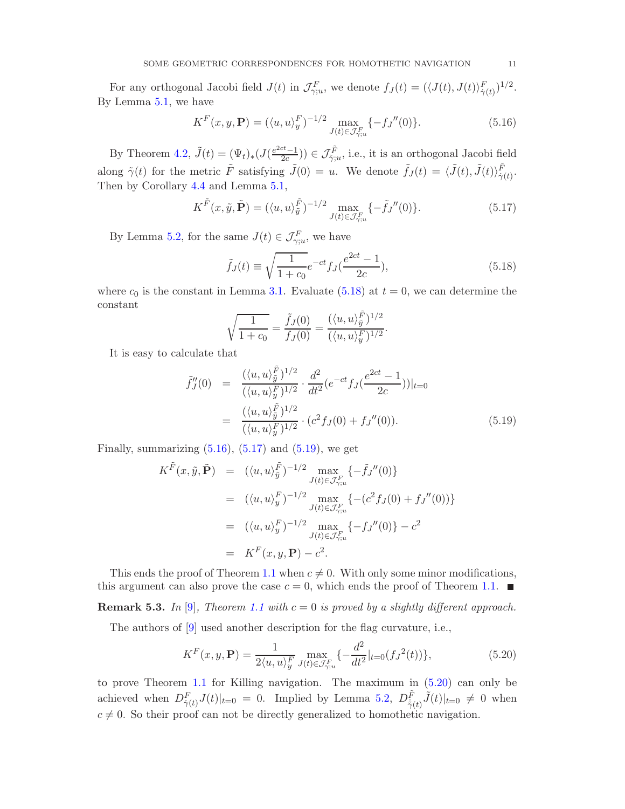<span id="page-10-5"></span>For any orthogonal Jacobi field  $J(t)$  in  $\mathcal{J}_{\gamma;u}^F$ , we denote  $f_J(t) = (\langle J(t), J(t) \rangle_{\dot{\gamma}(t)}^F)^{1/2}$ . By Lemma [5.1,](#page-8-0) we have

<span id="page-10-1"></span>
$$
K^{F}(x, y, \mathbf{P}) = (\langle u, u \rangle_{y}^{F})^{-1/2} \max_{J(t) \in \mathcal{J}_{\gamma; u}^{F}} \{-fJ''(0)\}.
$$
 (5.16)

By Theorem [4.2,](#page-6-1)  $\tilde{J}(t) = (\Psi_t)_*(J(\frac{e^{2ct}-1}{2c}))$  $(\frac{ct-1}{2c})) \in \mathcal{J}_{\tilde{\gamma};u}^{\tilde{F}},$  i.e., it is an orthogonal Jacobi field along  $\tilde{\gamma}(t)$  for the metric  $\tilde{F}$  satisfying  $\tilde{J}(0) = u$ . We denote  $\tilde{f}_J(t) = \langle \tilde{J}(t), \tilde{J}(t) \rangle_{\dot{\gamma}(t)}^{\tilde{F}}$ . Then by Corollary [4.4](#page-8-2) and Lemma [5.1,](#page-8-0)

<span id="page-10-2"></span>
$$
K^{\tilde{F}}(x,\tilde{y},\tilde{\mathbf{P}}) = (\langle u,u\rangle_{\tilde{y}}^{\tilde{F}})^{-1/2} \max_{J(t)\in\mathcal{J}_{\gamma;u}^{F}} \{-\tilde{f}_{J}''(0)\}.
$$
 (5.17)

By Lemma [5.2,](#page-9-0) for the same  $J(t) \in \mathcal{J}_{\gamma;u}^F$ , we have

<span id="page-10-0"></span>
$$
\tilde{f}_J(t) \equiv \sqrt{\frac{1}{1+c_0}} e^{-ct} f_J(\frac{e^{2ct} - 1}{2c}),\tag{5.18}
$$

where  $c_0$  is the constant in Lemma [3.1.](#page-4-1) Evaluate [\(5.18\)](#page-10-0) at  $t = 0$ , we can determine the constant

$$
\sqrt{\frac{1}{1+c_0}} = \frac{\tilde{f}_J(0)}{f_J(0)} = \frac{(\langle u, u \rangle_{\tilde{y}}^{\tilde{F}})^{1/2}}{(\langle u, u \rangle_{y}^F)^{1/2}}.
$$

It is easy to calculate that

<span id="page-10-3"></span>
$$
\tilde{f}_J''(0) = \frac{(\langle u, u \rangle_{\tilde{y}}^{\tilde{F}})^{1/2}}{(\langle u, u \rangle_y^F)^{1/2}} \cdot \frac{d^2}{dt^2} (e^{-ct} f_J(\frac{e^{2ct} - 1}{2c}))|_{t=0}
$$
\n
$$
= \frac{(\langle u, u \rangle_{\tilde{y}}^{\tilde{F}})^{1/2}}{(\langle u, u \rangle_y^F)^{1/2}} \cdot (c^2 f_J(0) + f_J''(0)). \tag{5.19}
$$

Finally, summarizing  $(5.16)$ ,  $(5.17)$  and  $(5.19)$ , we get

$$
K^{\tilde{F}}(x, \tilde{y}, \tilde{\mathbf{P}}) = (\langle u, u \rangle_{\tilde{y}}^{\tilde{F}})^{-1/2} \max_{J(t) \in \mathcal{J}_{\gamma;u}^{F}} \{-\tilde{f}_{J}''(0)\}
$$
  
\n
$$
= (\langle u, u \rangle_{y}^{F})^{-1/2} \max_{J(t) \in \mathcal{J}_{\gamma;u}^{F}} \{- (c^{2} f_{J}(0) + f_{J}''(0))\}
$$
  
\n
$$
= (\langle u, u \rangle_{y}^{F})^{-1/2} \max_{J(t) \in \mathcal{J}_{\gamma;u}^{F}} \{-f_{J}''(0)\} - c^{2}
$$
  
\n
$$
= K^{F}(x, y, \mathbf{P}) - c^{2}.
$$

This ends the proof of Theorem [1.1](#page-0-1) when  $c \neq 0$ . With only some minor modifications, this argument can also prove the case  $c = 0$ , which ends the proof of Theorem [1.1.](#page-0-1)

**Remark 5.3.** In [\[9\]](#page-17-7), Theorem [1.1](#page-0-1) with  $c = 0$  is proved by a slightly different approach.

The authors of [\[9\]](#page-17-7) used another description for the flag curvature, i.e.,

<span id="page-10-4"></span>
$$
K^{F}(x, y, \mathbf{P}) = \frac{1}{2\langle u, u \rangle_{y}^{F}} \max_{J(t) \in \mathcal{J}_{\gamma; u}^{F}} \{-\frac{d^{2}}{dt^{2}}|_{t=0} (f_{J}^{2}(t))\},
$$
(5.20)

to prove Theorem [1.1](#page-0-1) for Killing navigation. The maximum in [\(5.20\)](#page-10-4) can only be achieved when  $D_{\dot{\gamma}(t)}^F J(t)|_{t=0} = 0$ . Implied by Lemma [5.2,](#page-9-0)  $D_{\dot{\gamma}(t)}^{\tilde{F}} \tilde{J}(t)|_{t=0} \neq 0$  when  $c \neq 0$ . So their proof can not be directly generalized to homothetic navigation.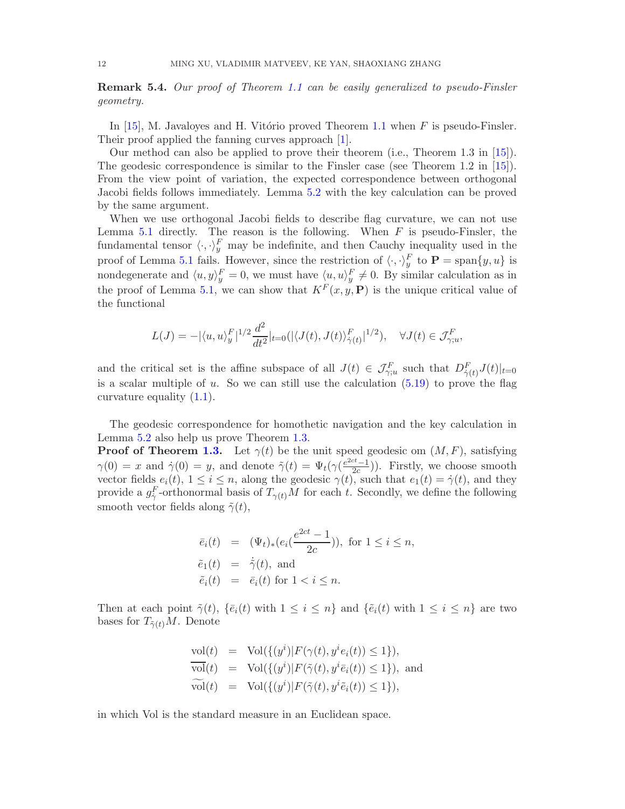## <span id="page-11-1"></span><span id="page-11-0"></span>**Remark 5.4.** Our proof of Theorem [1.1](#page-0-1) can be easily generalized to pseudo-Finsler geometry.

In [\[15\]](#page-17-9), M. Javaloves and H. Vitório proved Theorem [1.1](#page-0-1) when  $F$  is pseudo-Finsler. Their proof applied the fanning curves approach [\[1\]](#page-17-13).

Our method can also be applied to prove their theorem (i.e., Theorem 1.3 in [\[15\]](#page-17-9)). The geodesic correspondence is similar to the Finsler case (see Theorem 1.2 in  $[15]$ ). From the view point of variation, the expected correspondence between orthogonal Jacobi fields follows immediately. Lemma [5.2](#page-9-0) with the key calculation can be proved by the same argument.

When we use orthogonal Jacobi fields to describe flag curvature, we can not use Lemma [5.1](#page-8-0) directly. The reason is the following. When  $F$  is pseudo-Finsler, the fundamental tensor  $\langle \cdot, \cdot \rangle_y^F$  may be indefinite, and then Cauchy inequality used in the proof of Lemma [5.1](#page-8-0) fails. However, since the restriction of  $\langle \cdot, \cdot \rangle_y^F$  to  $\mathbf{P} = \text{span}\{y, u\}$  is nondegenerate and  $\langle u, y \rangle_y^F = 0$ , we must have  $\langle u, u \rangle_y^F \neq 0$ . By similar calculation as in the proof of Lemma [5.1,](#page-8-0) we can show that  $K^F(x, y, \mathbf{P})$  is the unique critical value of the functional

$$
L(J) = -|\langle u, u \rangle_y^F|^{1/2} \frac{d^2}{dt^2}|_{t=0} (|\langle J(t), J(t) \rangle_{\dot{\gamma}(t)}^F|^{1/2}), \quad \forall J(t) \in \mathcal{J}_{\gamma;u}^F,
$$

and the critical set is the affine subspace of all  $J(t) \in \mathcal{J}_{\gamma;u}^F$  such that  $D_{\dot{\gamma}(t)}^F J(t)|_{t=0}$ is a scalar multiple of u. So we can still use the calculation  $(5.19)$  to prove the flag curvature equality  $(1.1)$ .

The geodesic correspondence for homothetic navigation and the key calculation in Lemma [5.2](#page-9-0) also help us prove Theorem [1.3.](#page-1-1)

**Proof of Theorem [1.3.](#page-1-1)** Let  $\gamma(t)$  be the unit speed geodesic om  $(M, F)$ , satisfying  $\gamma(0) = x$  and  $\dot{\gamma}(0) = y$ , and denote  $\tilde{\gamma}(t) = \Psi_t(\gamma(\frac{e^{2ct}-1}{2c}))$  $\left(\frac{2c-1}{2c}\right)$ . Firstly, we choose smooth vector fields  $e_i(t)$ ,  $1 \leq i \leq n$ , along the geodesic  $\gamma(t)$ , such that  $e_1(t) = \dot{\gamma}(t)$ , and they provide a  $g_{\dot{\gamma}}^F$ -orthonormal basis of  $T_{\gamma(t)}M$  for each t. Secondly, we define the following smooth vector fields along  $\tilde{\gamma}(t)$ ,

$$
\begin{array}{rcl}\n\bar{e}_i(t) & = & (\Psi_t)_*(e_i(\frac{e^{2ct} - 1}{2c})), \text{ for } 1 \le i \le n, \\
\tilde{e}_1(t) & = & \dot{\tilde{\gamma}}(t), \text{ and} \\
\tilde{e}_i(t) & = & \bar{e}_i(t) \text{ for } 1 < i \le n.\n\end{array}
$$

Then at each point  $\tilde{\gamma}(t)$ ,  $\{\bar{e}_i(t)$  with  $1 \leq i \leq n\}$  and  $\{\tilde{e}_i(t)$  with  $1 \leq i \leq n\}$  are two bases for  $T_{\tilde{\gamma}(t)}M$ . Denote

$$
\text{vol}(t) = \text{Vol}(\{(y^i)|F(\gamma(t), y^i e_i(t)) \le 1\}),
$$
  
\n
$$
\overline{\text{vol}}(t) = \text{Vol}(\{(y^i)|F(\tilde{\gamma}(t), y^i \bar{e}_i(t)) \le 1\}),
$$
 and  
\n
$$
\widetilde{\text{vol}}(t) = \text{Vol}(\{(y^i)|F(\tilde{\gamma}(t), y^i \tilde{e}_i(t)) \le 1\}),
$$

in which Vol is the standard measure in an Euclidean space.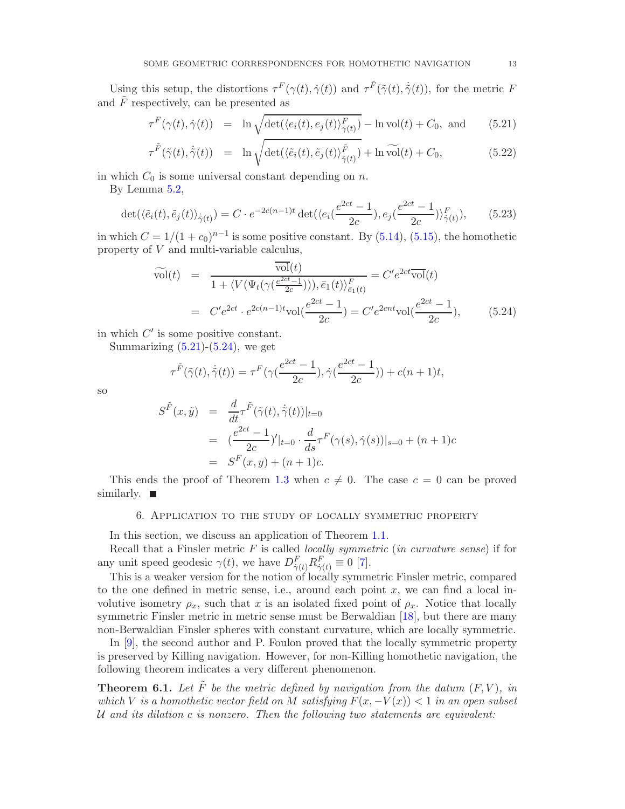<span id="page-12-3"></span>Using this setup, the distortions  $\tau^F(\gamma(t), \dot{\gamma}(t))$  and  $\tau^{\tilde{F}}(\tilde{\gamma}(t), \dot{\tilde{\gamma}}(t))$ , for the metric F and  $\tilde{F}$  respectively, can be presented as

<span id="page-12-1"></span>
$$
\tau^F(\gamma(t), \dot{\gamma}(t)) = \ln \sqrt{\det(\langle e_i(t), e_j(t) \rangle_{\dot{\gamma}(t)}^F)} - \ln \text{vol}(t) + C_0, \text{ and } (5.21)
$$

$$
\tau^{\tilde{F}}(\tilde{\gamma}(t), \dot{\tilde{\gamma}}(t)) = \ln \sqrt{\det(\langle \tilde{e}_i(t), \tilde{e}_j(t) \rangle_{\dot{\tilde{\gamma}}(t)}^{\tilde{F}})} + \ln \widetilde{\mathrm{vol}}(t) + C_0,
$$
\n(5.22)

in which  $C_0$  is some universal constant depending on n.

By Lemma [5.2,](#page-9-0)

$$
\det(\langle \tilde{e}_i(t), \tilde{e}_j(t) \rangle_{\dot{\tilde{\gamma}}(t)}) = C \cdot e^{-2c(n-1)t} \det(\langle e_i(\frac{e^{2ct} - 1}{2c}), e_j(\frac{e^{2ct} - 1}{2c}) \rangle_{\dot{\tilde{\gamma}}(t)}^F), \qquad (5.23)
$$

in which  $C = 1/(1 + c_0)^{n-1}$  is some positive constant. By [\(5.14\)](#page-9-4), [\(5.15\)](#page-9-3), the homothetic property of V and multi-variable calculus,

<span id="page-12-2"></span>
$$
\widetilde{\text{vol}}(t) = \frac{\overline{\text{vol}}(t)}{1 + \langle V(\Psi_t(\gamma(\frac{e^{2ct}-1}{2c}))), \bar{e}_1(t) \rangle_{\bar{e}_1(t)}^F} = C'e^{2ct} \overline{\text{vol}}(t)
$$
\n
$$
= C'e^{2ct} \cdot e^{2c(n-1)t} \text{vol}(\frac{e^{2ct}-1}{2c}) = C'e^{2cnt} \text{vol}(\frac{e^{2ct}-1}{2c}), \qquad (5.24)
$$

in which  $C'$  is some positive constant.

Summarizing  $(5.21)-(5.24)$  $(5.21)-(5.24)$ , we get

$$
\tau^{\tilde{F}}(\tilde{\gamma}(t),\dot{\tilde{\gamma}}(t)) = \tau^{F}(\gamma(\frac{e^{2ct}-1}{2c}),\dot{\gamma}(\frac{e^{2ct}-1}{2c})) + c(n+1)t,
$$

so

$$
S^{\tilde{F}}(x,\tilde{y}) = \frac{d}{dt}\tau^{\tilde{F}}(\tilde{\gamma}(t), \dot{\tilde{\gamma}}(t))|_{t=0}
$$
  
=  $(\frac{e^{2ct} - 1}{2c})'|_{t=0} \cdot \frac{d}{ds}\tau^F(\gamma(s), \dot{\gamma}(s))|_{s=0} + (n+1)c$   
=  $S^F(x, y) + (n+1)c$ .

This ends the proof of Theorem [1.3](#page-1-1) when  $c \neq 0$ . The case  $c = 0$  can be proved similarly.  $\blacksquare$ 

## 6. Application to the study of locally symmetric property

In this section, we discuss an application of Theorem [1.1.](#page-0-1)

Recall that a Finsler metric  $F$  is called *locally symmetric* (*in curvature sense*) if for any unit speed geodesic  $\gamma(t)$ , we have  $D_{\dot{\gamma}(t)}^F R_{\dot{\gamma}(t)}^F \equiv 0$  [\[7\]](#page-17-14).

This is a weaker version for the notion of locally symmetric Finsler metric, compared to the one defined in metric sense, i.e., around each point  $x$ , we can find a local involutive isometry  $\rho_x$ , such that x is an isolated fixed point of  $\rho_x$ . Notice that locally symmetric Finsler metric in metric sense must be Berwaldian [\[18\]](#page-18-9), but there are many non-Berwaldian Finsler spheres with constant curvature, which are locally symmetric.

In [\[9\]](#page-17-7), the second author and P. Foulon proved that the locally symmetric property is preserved by Killing navigation. However, for non-Killing homothetic navigation, the following theorem indicates a very different phenomenon.

<span id="page-12-0"></span>**Theorem 6.1.** Let  $\tilde{F}$  be the metric defined by navigation from the datum  $(F, V)$ , in which V is a homothetic vector field on M satisfying  $F(x, -V(x)) < 1$  in an open subset U and its dilation  $c$  is nonzero. Then the following two statements are equivalent: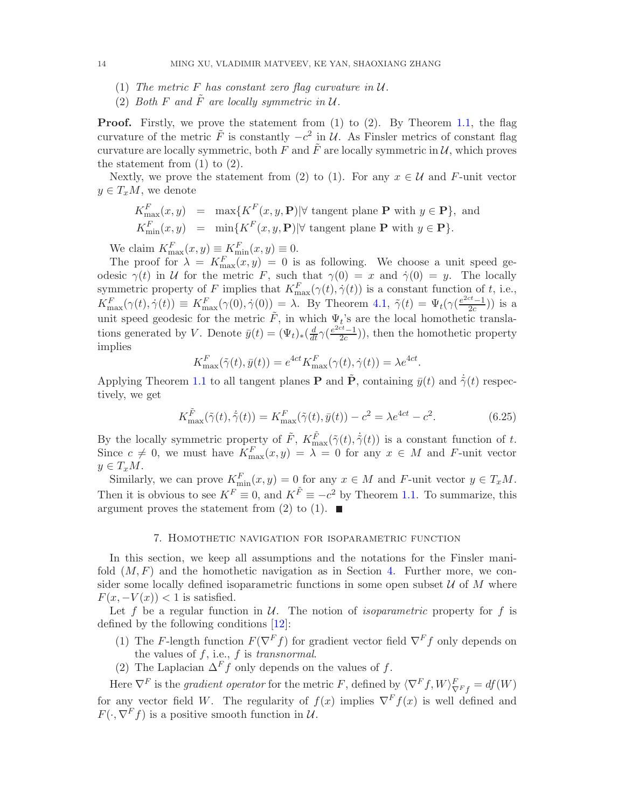- (1) The metric F has constant zero flag curvature in  $U$ .
- (2) Both F and  $\tilde{F}$  are locally symmetric in  $\mathcal{U}$ .

**Proof.** Firstly, we prove the statement from (1) to (2). By Theorem [1.1,](#page-0-1) the flag curvature of the metric  $\tilde{F}$  is constantly  $-c^2$  in  $\mathcal{U}$ . As Finsler metrics of constant flag curvature are locally symmetric, both F and  $\tilde{F}$  are locally symmetric in U, which proves the statement from  $(1)$  to  $(2)$ .

Nextly, we prove the statement from (2) to (1). For any  $x \in \mathcal{U}$  and F-unit vector  $y \in T_xM$ , we denote

$$
K_{\max}^F(x, y) = \max\{K^F(x, y, \mathbf{P}) | \forall \text{ tangent plane } \mathbf{P} \text{ with } y \in \mathbf{P}\},\text{ and}
$$
  

$$
K_{\min}^F(x, y) = \min\{K^F(x, y, \mathbf{P}) | \forall \text{ tangent plane } \mathbf{P} \text{ with } y \in \mathbf{P}\}.
$$

We claim  $K_{\max}^F(x, y) \equiv K_{\min}^F(x, y) \equiv 0.$ 

The proof for  $\lambda = K_{\text{max}}^F(x, y) = 0$  is as following. We choose a unit speed geodesic  $\gamma(t)$  in U for the metric F, such that  $\gamma(0) = x$  and  $\dot{\gamma}(0) = y$ . The locally symmetric property of F implies that  $K_{\text{max}}^F(\gamma(t), \dot{\gamma}(t))$  is a constant function of t, i.e.,  $K_{\max}^F(\gamma(t),\dot{\gamma}(t)) \equiv K_{\max}^F(\gamma(0),\dot{\gamma}(0)) = \lambda$ . By Theorem [4.1,](#page-6-0)  $\tilde{\gamma}(t) = \Psi_t(\gamma(\frac{e^{2ct}-1}{2c}))$  $\frac{c^{2}-1}{2c})$ ) is a unit speed geodesic for the metric  $\tilde{F}$ , in which  $\Psi_t$ 's are the local homothetic translations generated by V. Denote  $\bar{y}(t) = (\Psi_t)_*(\frac{d}{dt}\gamma(\frac{e^{2ct}-1}{2c})$  $\frac{2c-1}{2c}$ ), then the homothetic property implies

$$
K_{\text{max}}^F(\tilde{\gamma}(t), \bar{y}(t)) = e^{4ct} K_{\text{max}}^F(\gamma(t), \dot{\gamma}(t)) = \lambda e^{4ct}.
$$

Applying Theorem [1.1](#page-0-1) to all tangent planes **P** and  $\tilde{P}$ , containing  $\bar{y}(t)$  and  $\dot{\gamma}(t)$  respectively, we get

$$
K_{\text{max}}^{\tilde{F}}(\tilde{\gamma}(t), \dot{\tilde{\gamma}}(t)) = K_{\text{max}}^{F}(\tilde{\gamma}(t), \bar{y}(t)) - c^2 = \lambda e^{4ct} - c^2.
$$
 (6.25)

By the locally symmetric property of  $\tilde{F}$ ,  $K_{\text{max}}^{\tilde{F}}(\tilde{\gamma}(t), \dot{\tilde{\gamma}}(t))$  is a constant function of t. Since  $c \neq 0$ , we must have  $K_{\max}^F(x, y) = \lambda = 0$  for any  $x \in M$  and F-unit vector  $y \in T_xM$ .

Similarly, we can prove  $K_{\min}^F(x, y) = 0$  for any  $x \in M$  and F-unit vector  $y \in T_xM$ . Then it is obvious to see  $K^F \equiv 0$ , and  $K^{\tilde{F}} \equiv -c^2$  by Theorem [1.1.](#page-0-1) To summarize, this argument proves the statement from (2) to (1).  $\blacksquare$ 

## 7. Homothetic navigation for isoparametric function

In this section, we keep all assumptions and the notations for the Finsler manifold  $(M, F)$  and the homothetic navigation as in Section [4.](#page-5-1) Further more, we consider some locally defined isoparametric functions in some open subset  $U$  of M where  $F(x, -V(x)) < 1$  is satisfied.

Let f be a regular function in  $U$ . The notion of *isoparametric* property for f is defined by the following conditions [\[12\]](#page-17-10):

- (1) The F-length function  $F(\nabla^F f)$  for gradient vector field  $\nabla^F f$  only depends on the values of  $f$ , i.e.,  $f$  is transnormal.
- (2) The Laplacian  $\Delta^F f$  only depends on the values of f.

Here  $\nabla^F$  is the *gradient operator* for the metric F, defined by  $\langle \nabla^F f, W \rangle^F_{\nabla^F f} = df(W)$ for any vector field W. The regularity of  $f(x)$  implies  $\nabla^F f(x)$  is well defined and  $F(\cdot, \nabla^F f)$  is a positive smooth function in  $\mathcal{U}$ .

<span id="page-13-0"></span>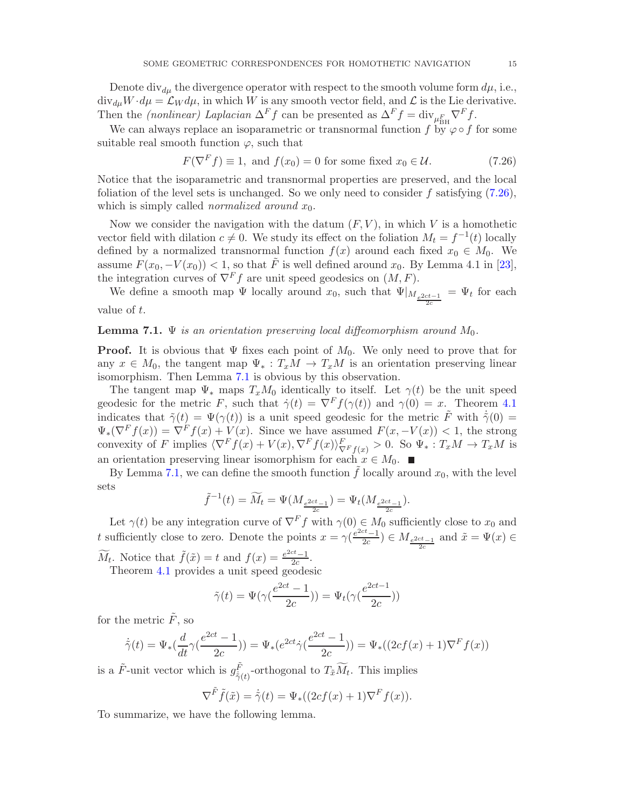<span id="page-14-2"></span>Denote div<sub>du</sub> the divergence operator with respect to the smooth volume form  $d\mu$ , i.e.,  $\text{div}_{d\mu}W \cdot d\mu = \mathcal{L}_W d\mu$ , in which W is any smooth vector field, and  $\mathcal{L}$  is the Lie derivative. Then the *(nonlinear)* Laplacian  $\Delta^F f$  can be presented as  $\Delta^F f = \text{div}_{\mu_{\text{BH}}^F} \nabla^F f$ .

We can always replace an isoparametric or transnormal function f by  $\varphi \circ f$  for some suitable real smooth function  $\varphi$ , such that

<span id="page-14-0"></span>
$$
F(\nabla^F f) \equiv 1, \text{ and } f(x_0) = 0 \text{ for some fixed } x_0 \in \mathcal{U}.
$$
 (7.26)

Notice that the isoparametric and transnormal properties are preserved, and the local foliation of the level sets is unchanged. So we only need to consider f satisfying  $(7.26)$ , which is simply called *normalized around*  $x_0$ .

Now we consider the navigation with the datum  $(F, V)$ , in which V is a homothetic vector field with dilation  $c \neq 0$ . We study its effect on the foliation  $M_t = f^{-1}(t)$  locally defined by a normalized transnormal function  $f(x)$  around each fixed  $x_0 \in M_0$ . We assume  $F(x_0, -V(x_0)) < 1$ , so that  $\tilde{F}$  is well defined around  $x_0$ . By Lemma 4.1 in [\[23\]](#page-18-8), the integration curves of  $\nabla^F f$  are unit speed geodesics on  $(M, F)$ .

We define a smooth map  $\Psi$  locally around  $x_0$ , such that  $\Psi|_{M_{\frac{e^{2ct-1}}{2c}}} = \Psi_t$  for each value of t.

### <span id="page-14-1"></span>**Lemma 7.1.**  $\Psi$  is an orientation preserving local diffeomorphism around  $M_0$ .

**Proof.** It is obvious that  $\Psi$  fixes each point of  $M_0$ . We only need to prove that for any  $x \in M_0$ , the tangent map  $\Psi_* : T_xM \to T_xM$  is an orientation preserving linear isomorphism. Then Lemma [7.1](#page-14-1) is obvious by this observation.

The tangent map  $\Psi_*$  maps  $T_xM_0$  identically to itself. Let  $\gamma(t)$  be the unit speed geodesic for the metric F, such that  $\dot{\gamma}(t) = \nabla^F f(\gamma(t))$  and  $\gamma(0) = x$ . Theorem [4.1](#page-6-0) indicates that  $\tilde{\gamma}(t) = \Psi(\gamma(t))$  is a unit speed geodesic for the metric  $\tilde{F}$  with  $\dot{\tilde{\gamma}}(0) =$  $\Psi_*(\nabla^F f(x)) = \nabla^F f(x) + V(x)$ . Since we have assumed  $F(x, -V(x)) < 1$ , the strong convexity of F implies  $\langle \nabla^F f(x) + V(x), \nabla^F f(x) \rangle_{\nabla^F f(x)}^F > 0$ . So  $\Psi_* : T_xM \to T_xM$  is an orientation preserving linear isomorphism for each  $x \in M_0$ .

By Lemma [7.1,](#page-14-1) we can define the smooth function f locally around  $x_0$ , with the level sets

$$
\tilde{f}^{-1}(t) = \widetilde{M}_t = \Psi(M_{\frac{e^{2ct}-1}{2c}}) = \Psi_t(M_{\frac{e^{2ct}-1}{2c}}).
$$

Let  $\gamma(t)$  be any integration curve of  $\nabla^F f$  with  $\gamma(0) \in M_0$  sufficiently close to  $x_0$  and t sufficiently close to zero. Denote the points  $x = \gamma \left( \frac{e^{2ct}-1}{2c} \right)$  $\left(\frac{x}{2c}\right) \in M_{\frac{e^{2ct}-1}{2c}}$  and  $\tilde{x} = \Psi(x) \in$ 

 $\widetilde{M}_t$ . Notice that  $\widetilde{f}(\tilde{x}) = t$  and  $f(x) = \frac{e^{2ct}-1}{2c}$  $\frac{z-1}{2c}$ . Theorem [4.1](#page-6-0) provides a unit speed geodesic

$$
\tilde{\gamma}(t)=\Psi(\gamma(\frac{e^{2ct}-1}{2c}))=\Psi_t(\gamma(\frac{e^{2ct-1}}{2c}))
$$

for the metric  $\tilde{F}$ , so

$$
\dot{\tilde{\gamma}}(t) = \Psi_*(\frac{d}{dt}\gamma(\frac{e^{2ct} - 1}{2c})) = \Psi_*(e^{2ct}\dot{\gamma}(\frac{e^{2ct} - 1}{2c})) = \Psi_*((2cf(x) + 1)\nabla^F f(x))
$$

is a  $\tilde{F}$ -unit vector which is  $g_{\tilde{z},i}^{\tilde{F}}$  $\frac{F}{\dot{\gamma}(t)}$ -orthogonal to  $T_{\tilde{x}}M_t$ . This implies

$$
\nabla^{\tilde{F}} \tilde{f}(\tilde{x}) = \dot{\tilde{\gamma}}(t) = \Psi_*((2cf(x) + 1)\nabla^F f(x)).
$$

To summarize, we have the following lemma.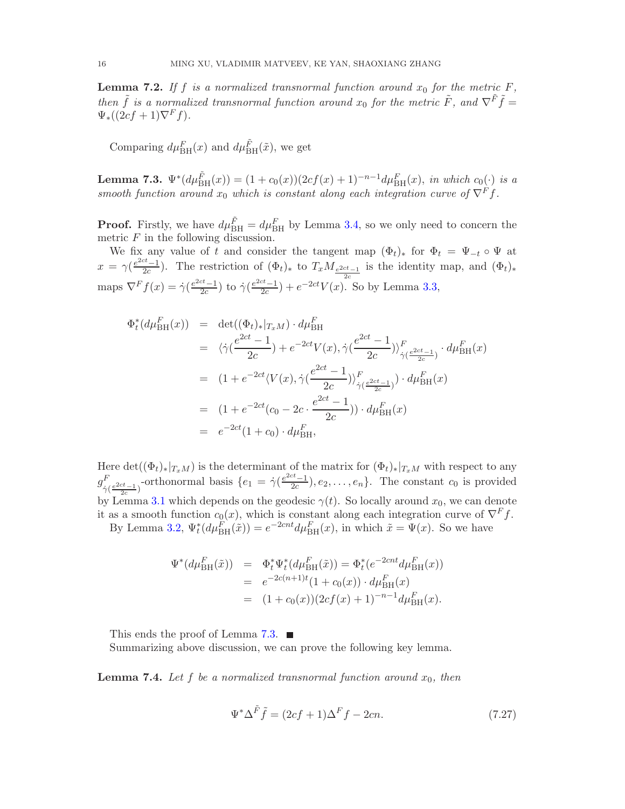<span id="page-15-2"></span>**Lemma 7.2.** If f is a normalized transnormal function around  $x_0$  for the metric F, then  $\tilde{f}$  is a normalized transnormal function around  $x_0$  for the metric  $\tilde{F}$ , and  $\nabla^{\tilde{F}}\tilde{f}$  =  $\Psi_*((2cf+1)\nabla^F f).$ 

Comparing  $d\mu_{\text{BH}}^F(x)$  and  $d\mu_{\text{BH}}^{\tilde{F}}(\tilde{x})$ , we get

<span id="page-15-1"></span>**Lemma 7.3.**  $\Psi^*(d\mu_{\text{BH}}^{\tilde{F}}(x)) = (1 + c_0(x))(2cf(x) + 1)^{-n-1}d\mu_{\text{BH}}^F(x)$ , in which  $c_0(\cdot)$  is a smooth function around  $x_0$  which is constant along each integration curve of  $\nabla^F f$ .

**Proof.** Firstly, we have  $d\mu_{\text{BH}}^{\tilde{F}} = d\mu_{\text{BH}}^F$  by Lemma [3.4,](#page-5-2) so we only need to concern the metric  $F$  in the following discussion.

We fix any value of t and consider the tangent map  $(\Phi_t)_*$  for  $\Phi_t = \Psi_{-t} \circ \Psi$  at  $x = \gamma \left( \frac{e^{2ct} - 1}{2c} \right)$  $\frac{z^{c}-1}{2c}$ ). The restriction of  $(\Phi_t)_*$  to  $T_xM_{\frac{e^{2ct}-1}{2}}$  is the identity map, and  $(\Phi_t)_*$ maps  $\nabla^F f(x) = \dot{\gamma} \left( \frac{e^{2ct} - 1}{2c} \right)$  to  $\dot{\gamma} \left( \frac{e^{2ct} - 1}{2c} \right) + e^{-2ct} V(x)$ .  $\frac{c^{t}-1}{2c}$ ) to  $\dot{\gamma}(\frac{e^{2ct}-1}{2c})$  $\frac{ct_{-1}}{2c}$  +  $e^{-2ct}V(x)$ . So by Lemma [3.3,](#page-5-0)

$$
\Phi_t^*(d\mu_{\text{BH}}^F(x)) = \det((\Phi_t)_*|_{T_xM}) \cdot d\mu_{\text{BH}}^F
$$
  
\n
$$
= \langle \dot{\gamma}(\frac{e^{2ct} - 1}{2c}) + e^{-2ct}V(x), \dot{\gamma}(\frac{e^{2ct} - 1}{2c}) \rangle_{\dot{\gamma}(\frac{e^{2ct} - 1}{2c})}^F \cdot d\mu_{\text{BH}}^F(x)
$$
  
\n
$$
= (1 + e^{-2ct}\langle V(x), \dot{\gamma}(\frac{e^{2ct} - 1}{2c}) \rangle_{\dot{\gamma}(\frac{e^{2ct} - 1}{2c})}^F) \cdot d\mu_{\text{BH}}^F(x)
$$
  
\n
$$
= (1 + e^{-2ct}(c_0 - 2c \cdot \frac{e^{2ct} - 1}{2c})) \cdot d\mu_{\text{BH}}^F(x)
$$
  
\n
$$
= e^{-2ct}(1 + c_0) \cdot d\mu_{\text{BH}}^F,
$$

Here  $\det((\Phi_t)_*|_{T_xM})$  is the determinant of the matrix for  $(\Phi_t)_*|_{T_xM}$  with respect to any  $g^{F}_{\cdot}$  $\frac{F}{\dot{\gamma}(\frac{e^{2ct}-1}{2c})}$ -orthonormal basis  $\{e_1 = \dot{\gamma}(\frac{e^{2ct}-1}{2c})\}$  $\left\{ \frac{c}{2c}, \ldots, e_n \right\}$ . The constant  $c_0$  is provided by Lemma [3.1](#page-4-1) which depends on the geodesic  $\gamma(t)$ . So locally around  $x_0$ , we can denote it as a smooth function  $c_0(x)$ , which is constant along each integration curve of  $\nabla^F f$ .

By Lemma [3.2,](#page-5-3)  $\Psi_t^*(d\mu_{\text{BH}}^F(\tilde{x})) = e^{-2cnt}d\mu_{\text{BH}}^F(x)$ , in which  $\tilde{x} = \Psi(x)$ . So we have

$$
\Psi^*(d\mu_{\text{BH}}^F(\tilde{x})) = \Phi_t^* \Psi_t^*(d\mu_{\text{BH}}^F(\tilde{x})) = \Phi_t^*(e^{-2cnt}d\mu_{\text{BH}}^F(x))
$$
  
=  $e^{-2c(n+1)t}(1 + c_0(x)) \cdot d\mu_{\text{BH}}^F(x)$   
=  $(1 + c_0(x))(2cf(x) + 1)^{-n-1}d\mu_{\text{BH}}^F(x).$ 

This ends the proof of Lemma [7.3.](#page-15-1)  $\blacksquare$ 

Summarizing above discussion, we can prove the following key lemma.

<span id="page-15-0"></span>**Lemma 7.4.** Let f be a normalized transnormal function around  $x_0$ , then

$$
\Psi^* \Delta^{\tilde{F}} \tilde{f} = (2cf + 1)\Delta^F f - 2cn.
$$
\n(7.27)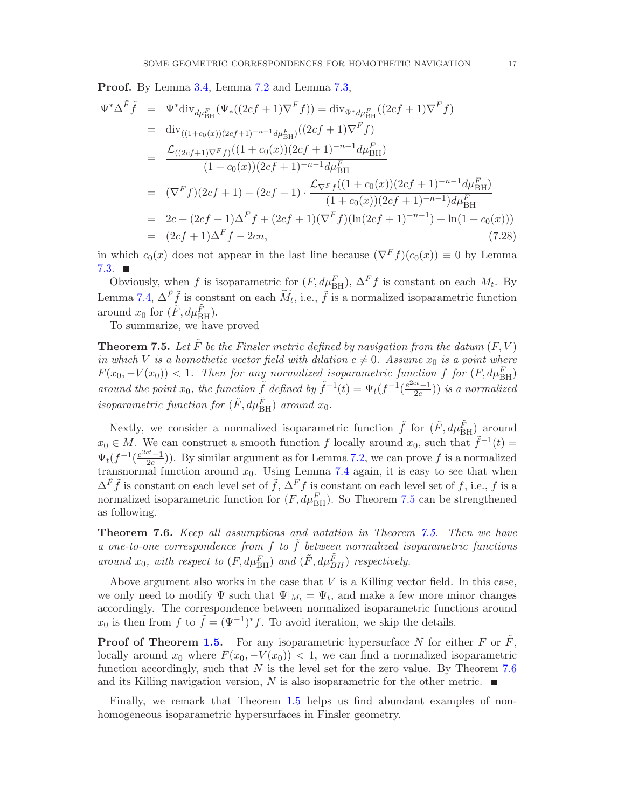Proof. By Lemma [3.4,](#page-5-2) Lemma [7.2](#page-15-2) and Lemma [7.3,](#page-15-1)

$$
\Psi^* \Delta^{\tilde{F}} \tilde{f} = \Psi^* \text{div}_{d\mu_{\text{BH}}^F} (\Psi_* ((2cf+1)\nabla^F f)) = \text{div}_{\Psi^* d\mu_{\text{BH}}^F} ((2cf+1)\nabla^F f)
$$
\n
$$
= \text{div}_{((1+c_0(x))(2cf+1)^{-n-1} d\mu_{\text{BH}}^F)} ((2cf+1)\nabla^F f)
$$
\n
$$
= \frac{\mathcal{L}_{((2cf+1)\nabla^F f)}((1+c_0(x))(2cf+1)^{-n-1} d\mu_{\text{BH}}^F)}{(1+c_0(x))(2cf+1)^{-n-1} d\mu_{\text{BH}}^F}
$$
\n
$$
= (\nabla^F f)(2cf+1) + (2cf+1) \cdot \frac{\mathcal{L}_{\nabla^F f}((1+c_0(x))(2cf+1)^{-n-1} d\mu_{\text{BH}}^F)}{(1+c_0(x))(2cf+1)^{-n-1}) d\mu_{\text{BH}}^F}
$$
\n
$$
= 2c + (2cf+1)\Delta^F f + (2cf+1)(\nabla^F f)(\ln(2cf+1)^{-n-1}) + \ln(1+c_0(x)))
$$
\n
$$
= (2cf+1)\Delta^F f - 2cn,
$$
\n(7.28)

in which  $c_0(x)$  does not appear in the last line because  $(\nabla^F f)(c_0(x)) \equiv 0$  by Lemma  $7.3.$   $\blacksquare$ 

Obviously, when f is isoparametric for  $(F, d\mu_{\text{BH}}^F)$ ,  $\Delta^F f$  is constant on each  $M_t$ . By Lemma [7.4,](#page-15-0)  $\Delta^{\tilde{F}} \tilde{f}$  is constant on each  $\widetilde{M}_t$ , i.e.,  $\tilde{f}$  is a normalized isoparametric function around  $x_0$  for  $(\tilde{F}, d\mu_{\text{BH}}^{\tilde{F}})$ .

To summarize, we have proved

<span id="page-16-1"></span>**Theorem 7.5.** Let  $\tilde{F}$  be the Finsler metric defined by navigation from the datum  $(F, V)$ in which V is a homothetic vector field with dilation  $c \neq 0$ . Assume  $x_0$  is a point where  $F(x_0, -V(x_0)) < 1$ . Then for any normalized isoparametric function f for  $(F, d\mu_{\rm BH}^F)$ around the point  $x_0$ , the function  $\tilde{f}$  defined by  $\tilde{f}^{-1}(t) = \Psi_t(f^{-1}(\frac{e^{2ct}-1}{2c}))$  $\frac{c^2-1}{2c})$ ) is a normalized isoparametric function for  $(\tilde{F}, d\mu_{\text{BH}}^{\tilde{F}})$  around  $x_0$ .

Nextly, we consider a normalized isoparametric function  $\tilde{f}$  for  $(\tilde{F}, d\mu_{\text{BH}}^{\tilde{F}})$  around  $x_0 \in M$ . We can construct a smooth function f locally around  $x_0$ , such that  $\tilde{f}^{-1}(t) =$  $\Psi_t(f^{-1}(\frac{e^{2ct}-1}{2c})$  $\frac{2c-1}{2c}$ ). By similar argument as for Lemma [7.2,](#page-15-2) we can prove f is a normalized transnormal function around  $x_0$ . Using Lemma [7.4](#page-15-0) again, it is easy to see that when  $\Delta^{\tilde{F}}\tilde{f}$  is constant on each level set of  $\tilde{f}, \Delta^F f$  is constant on each level set of f, i.e., f is a normalized isoparametric function for  $(F, d\mu_{\text{BH}}^F)$ . So Theorem [7.5](#page-16-1) can be strengthened as following.

<span id="page-16-0"></span>Theorem 7.6. Keep all assumptions and notation in Theorem [7.5.](#page-16-1) Then we have a one-to-one correspondence from  $f$  to  $\tilde{f}$  between normalized isoparametric functions around  $x_0$ , with respect to  $(F, d\mu_{\text{BH}}^F)$  and  $(\tilde{F}, d\mu_{BH}^{\tilde{F}})$  respectively.

Above argument also works in the case that  $V$  is a Killing vector field. In this case, we only need to modify  $\Psi$  such that  $\Psi|_{M_t} = \Psi_t$ , and make a few more minor changes accordingly. The correspondence between normalized isoparametric functions around  $x_0$  is then from f to  $\tilde{f} = (\Psi^{-1})^* f$ . To avoid iteration, we skip the details.

**Proof of Theorem [1.5.](#page-2-1)** For any isoparametric hypersurface N for either F or  $\tilde{F}$ , locally around  $x_0$  where  $F(x_0, -V(x_0)) < 1$ , we can find a normalized isoparametric function accordingly, such that  $N$  is the level set for the zero value. By Theorem [7.6](#page-16-0) and its Killing navigation version, N is also isoparametric for the other metric.  $\blacksquare$ 

Finally, we remark that Theorem [1.5](#page-2-1) helps us find abundant examples of nonhomogeneous isoparametric hypersurfaces in Finsler geometry.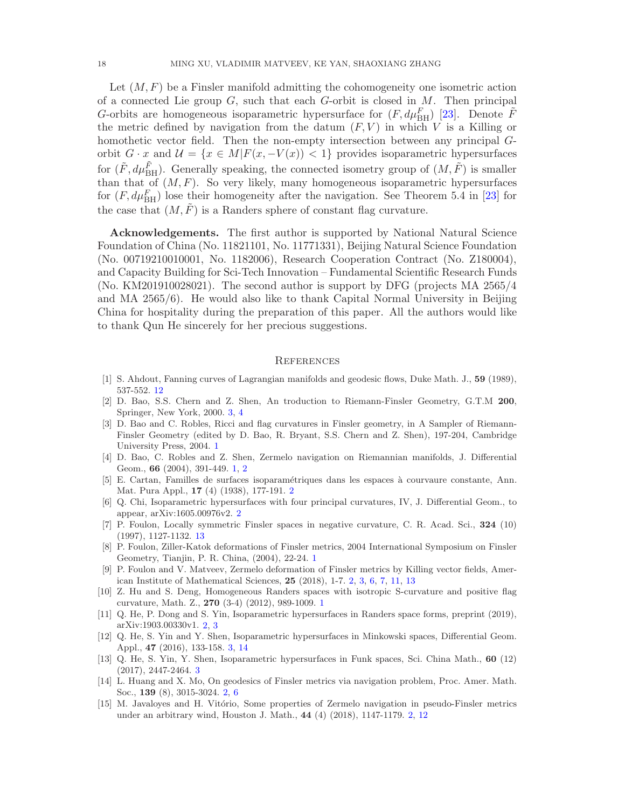<span id="page-17-15"></span>Let  $(M, F)$  be a Finsler manifold admitting the cohomogeneity one isometric action of a connected Lie group  $G$ , such that each  $G$ -orbit is closed in  $M$ . Then principal G-orbits are homogeneous isoparametric hypersurface for  $(F, d\mu_{\rm BH}^F)$  [\[23\]](#page-18-8). Denote  $\tilde{F}$ the metric defined by navigation from the datum  $(F, V)$  in which V is a Killing or homothetic vector field. Then the non-empty intersection between any principal Gorbit  $G \cdot x$  and  $\mathcal{U} = \{x \in M | F(x, -V(x)) < 1\}$  provides isoparametric hypersurfaces for  $(\tilde{F}, d\mu_{\text{BH}}^{\tilde{F}})$ . Generally speaking, the connected isometry group of  $(M, \tilde{F})$  is smaller than that of  $(M, F)$ . So very likely, many homogeneous isoparametric hypersurfaces for  $(F, d\mu_{\text{BH}}^F)$  lose their homogeneity after the navigation. See Theorem 5.4 in [\[23\]](#page-18-8) for the case that  $(M, \tilde{F})$  is a Randers sphere of constant flag curvature.

Acknowledgements. The first author is supported by National Natural Science Foundation of China (No. 11821101, No. 11771331), Beijing Natural Science Foundation (No. 00719210010001, No. 1182006), Research Cooperation Contract (No. Z180004), and Capacity Building for Sci-Tech Innovation – Fundamental Scientific Research Funds (No. KM201910028021). The second author is support by DFG (projects MA 2565/4 and MA 2565/6). He would also like to thank Capital Normal University in Beijing China for hospitality during the preparation of this paper. All the authors would like to thank Qun He sincerely for her precious suggestions.

### **REFERENCES**

- <span id="page-17-13"></span><span id="page-17-12"></span>[1] S. Ahdout, Fanning curves of Lagrangian manifolds and geodesic flows, Duke Math. J., 59 (1989), 537-552. [12](#page-11-1)
- [2] D. Bao, S.S. Chern and Z. Shen, An troduction to Riemann-Finsler Geometry, G.T.M 200, Springer, New York, 2000. [3,](#page-2-2) [4](#page-3-3)
- <span id="page-17-0"></span>[3] D. Bao and C. Robles, Ricci and flag curvatures in Finsler geometry, in A Sampler of Riemann-Finsler Geometry (edited by D. Bao, R. Bryant, S.S. Chern and Z. Shen), 197-204, Cambridge University Press, 2004. [1](#page-0-2)
- <span id="page-17-1"></span>[4] D. Bao, C. Robles and Z. Shen, Zermelo navigation on Riemannian manifolds, J. Differential Geom., 66 (2004), 391-449. [1,](#page-0-2) [2](#page-1-2)
- <span id="page-17-5"></span>[5] E. Cartan, Familles de surfaces isoparam´etriques dans les espaces `a courvaure constante, Ann. Mat. Pura Appl., 17 (4) (1938), 177-191. [2](#page-1-2)
- <span id="page-17-6"></span>[6] Q. Chi, Isoparametric hypersurfaces with four principal curvatures, IV, J. Differential Geom., to appear, arXiv:1605.00976v2. [2](#page-1-2)
- <span id="page-17-14"></span>[7] P. Foulon, Locally symmetric Finsler spaces in negative curvature, C. R. Acad. Sci., 324 (10) (1997), 1127-1132. [13](#page-12-3)
- <span id="page-17-2"></span>[8] P. Foulon, Ziller-Katok deformations of Finsler metrics, 2004 International Symposium on Finsler Geometry, Tianjin, P. R. China, (2004), 22-24. [1](#page-0-2)
- <span id="page-17-7"></span>[9] P. Foulon and V. Matveev, Zermelo deformation of Finsler metrics by Killing vector fields, American Institute of Mathematical Sciences, 25 (2018), 1-7. [2,](#page-1-2) [3,](#page-2-2) [6,](#page-5-4) [7,](#page-6-3) [11,](#page-10-5) [13](#page-12-3)
- <span id="page-17-3"></span>[10] Z. Hu and S. Deng, Homogeneous Randers spaces with isotropic S-curvature and positive flag curvature, Math. Z., 270 (3-4) (2012), 989-1009. [1](#page-0-2)
- <span id="page-17-4"></span>[11] Q. He, P. Dong and S. Yin, Isoparametric hypersurfaces in Randers space forms, preprint (2019), arXiv:1903.00330v1. [2,](#page-1-2) [3](#page-2-2)
- <span id="page-17-10"></span>[12] Q. He, S. Yin and Y. Shen, Isoparametric hypersurfaces in Minkowski spaces, Differential Geom. Appl., 47 (2016), 133-158. [3,](#page-2-2) [14](#page-13-0)
- <span id="page-17-11"></span>[13] Q. He, S. Yin, Y. Shen, Isoparametric hypersurfaces in Funk spaces, Sci. China Math., 60 (12) (2017), 2447-2464. [3](#page-2-2)
- <span id="page-17-8"></span>[14] L. Huang and X. Mo, On geodesics of Finsler metrics via navigation problem, Proc. Amer. Math. Soc., 139 (8), 3015-3024. [2,](#page-1-2) [6](#page-5-4)
- <span id="page-17-9"></span>[15] M. Javaloyes and H. Vitório, Some properties of Zermelo navigation in pseudo-Finsler metrics under an arbitrary wind, Houston J. Math., 44 (4) (2018), 1147-1179. [2,](#page-1-2) [12](#page-11-1)